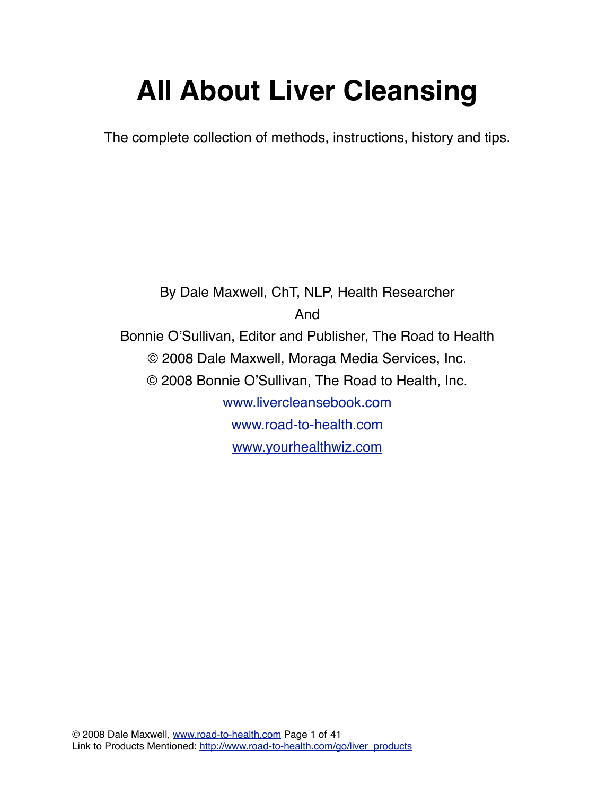# **All About Liver Cleansing**

The complete collection of methods, instructions, history and tips.

By Dale Maxwell, ChT, NLP, Health Researcher And Bonnie O'Sullivan, Editor and Publisher, The Road to Health © 2008 Dale Maxwell, Moraga Media Services, Inc. © 2008 Bonnie O'Sullivan, The Road to Health, Inc. [www.livercleansebook.com](http://www.livercleansebook.com) [www.road-to-health.com](http://www.road-to-health.com) [www.yourhealthwiz.com](http://www.yourhealthwiz.com)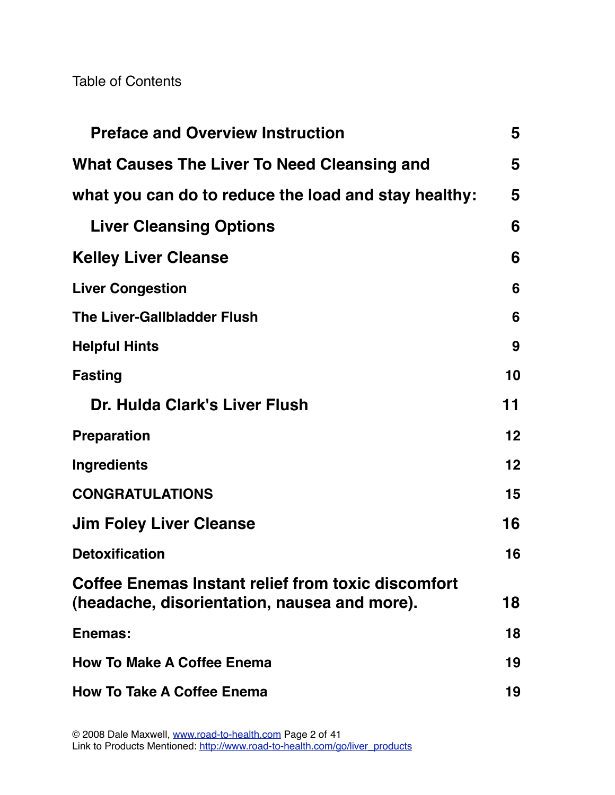Table of Contents

| <b>Preface and Overview Instruction</b>                                                            | 5  |
|----------------------------------------------------------------------------------------------------|----|
| What Causes The Liver To Need Cleansing and                                                        | 5  |
| what you can do to reduce the load and stay healthy:                                               | 5  |
| <b>Liver Cleansing Options</b>                                                                     | 6  |
| <b>Kelley Liver Cleanse</b>                                                                        | 6  |
| <b>Liver Congestion</b>                                                                            | 6  |
| <b>The Liver-Gallbladder Flush</b>                                                                 | 6  |
| <b>Helpful Hints</b>                                                                               | 9  |
| <b>Fasting</b>                                                                                     | 10 |
| Dr. Hulda Clark's Liver Flush                                                                      | 11 |
| <b>Preparation</b>                                                                                 | 12 |
| <b>Ingredients</b>                                                                                 | 12 |
| <b>CONGRATULATIONS</b>                                                                             | 15 |
| <b>Jim Foley Liver Cleanse</b>                                                                     | 16 |
| <b>Detoxification</b>                                                                              | 16 |
| Coffee Enemas Instant relief from toxic discomfort<br>(headache, disorientation, nausea and more). | 18 |
| Enemas:                                                                                            | 18 |
| <b>How To Make A Coffee Enema</b>                                                                  | 19 |
| <b>How To Take A Coffee Enema</b>                                                                  | 19 |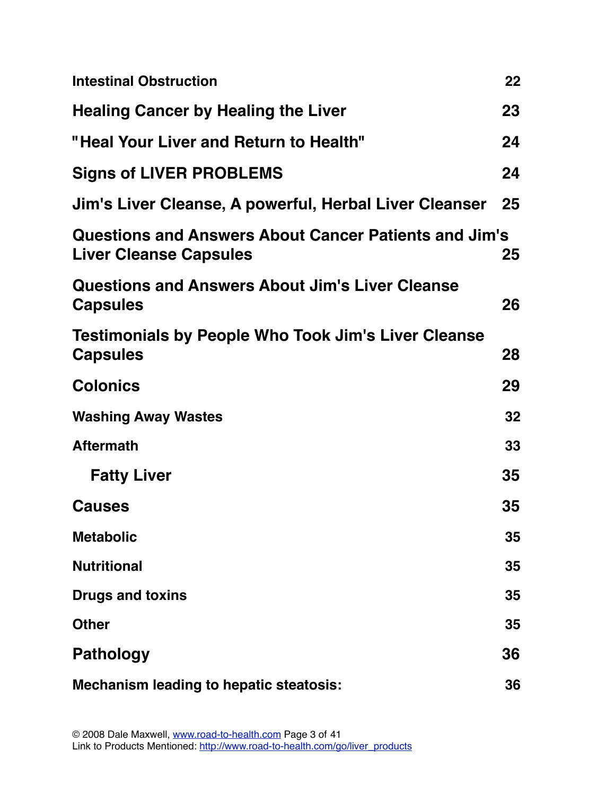| <b>Intestinal Obstruction</b>                                                          | 22  |
|----------------------------------------------------------------------------------------|-----|
| <b>Healing Cancer by Healing the Liver</b>                                             | 23  |
| "Heal Your Liver and Return to Health"                                                 | 24  |
| <b>Signs of LIVER PROBLEMS</b>                                                         | 24  |
| Jim's Liver Cleanse, A powerful, Herbal Liver Cleanser                                 | -25 |
| Questions and Answers About Cancer Patients and Jim's<br><b>Liver Cleanse Capsules</b> | 25  |
| Questions and Answers About Jim's Liver Cleanse<br><b>Capsules</b>                     | 26  |
| <b>Testimonials by People Who Took Jim's Liver Cleanse</b><br><b>Capsules</b>          | 28  |
| <b>Colonics</b>                                                                        | 29  |
| <b>Washing Away Wastes</b>                                                             | 32  |
| <b>Aftermath</b>                                                                       | 33  |
| <b>Fatty Liver</b>                                                                     | 35  |
| <b>Causes</b>                                                                          | 35  |
| <b>Metabolic</b>                                                                       | 35  |
| <b>Nutritional</b>                                                                     | 35  |
| <b>Drugs and toxins</b>                                                                | 35  |
| <b>Other</b>                                                                           | 35  |
| <b>Pathology</b>                                                                       | 36  |
| <b>Mechanism leading to hepatic steatosis:</b>                                         | 36  |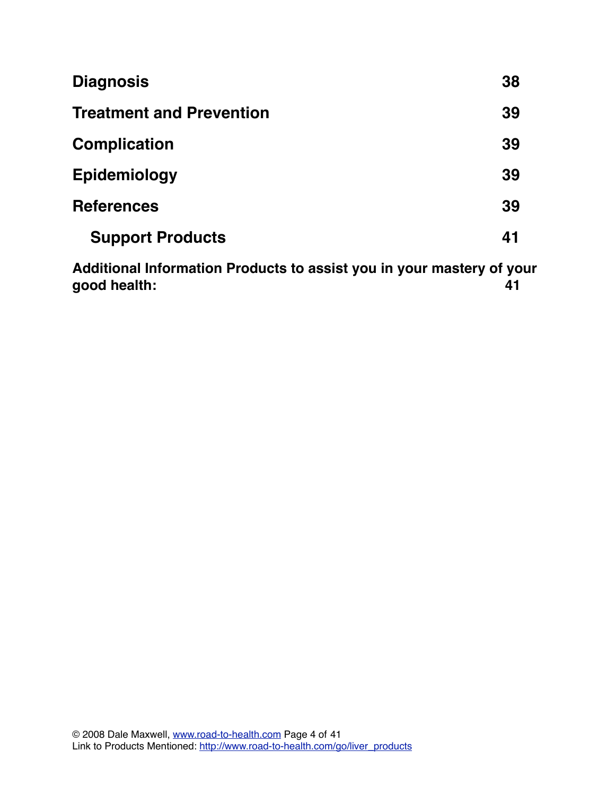| <b>Diagnosis</b>                | 38 |
|---------------------------------|----|
| <b>Treatment and Prevention</b> | 39 |
| <b>Complication</b>             | 39 |
| Epidemiology                    | 39 |
| <b>References</b>               | 39 |
| <b>Support Products</b>         | 41 |
|                                 |    |

**[Additional Information Products to assist you in your mastery of your](#page-40-1)  [good health:](#page-40-1) 41**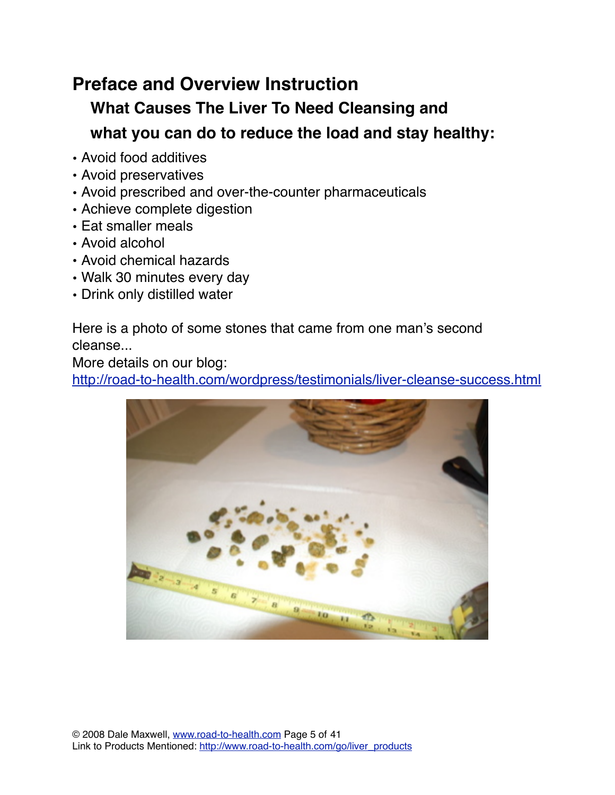# <span id="page-4-1"></span><span id="page-4-0"></span>**Preface and Overview Instruction What Causes The Liver To Need Cleansing and what you can do to reduce the load and stay healthy:**

- <span id="page-4-2"></span>• Avoid food additives
- Avoid preservatives
- Avoid prescribed and over-the-counter pharmaceuticals
- Achieve complete digestion
- Eat smaller meals
- Avoid alcohol
- Avoid chemical hazards
- Walk 30 minutes every day
- Drink only distilled water

Here is a photo of some stones that came from one man's second cleanse...

More details on our blog:

<http://road-to-health.com/wordpress/testimonials/liver-cleanse-success.html>

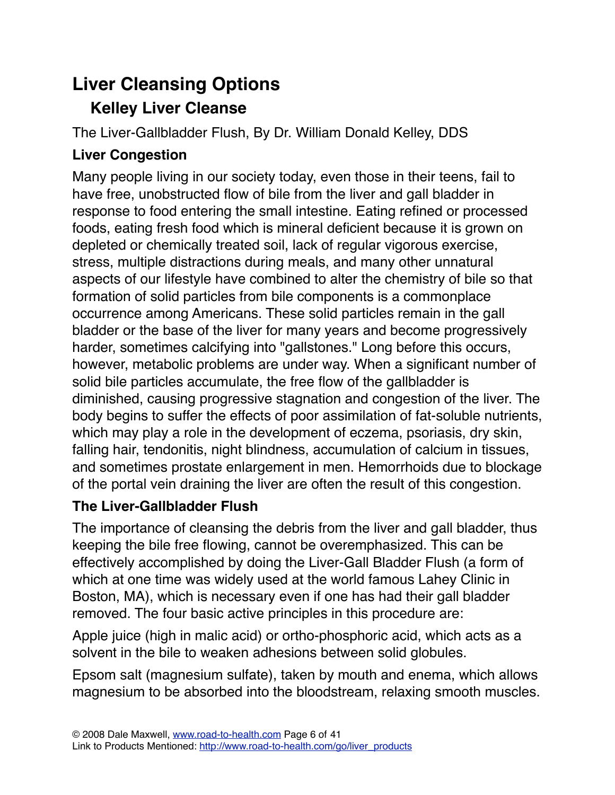# <span id="page-5-1"></span><span id="page-5-0"></span>**Liver Cleansing Options Kelley Liver Cleanse**

The Liver-Gallbladder Flush, By Dr. William Donald Kelley, DDS

#### <span id="page-5-2"></span>**Liver Congestion**

Many people living in our society today, even those in their teens, fail to have free, unobstructed flow of bile from the liver and gall bladder in response to food entering the small intestine. Eating refined or processed foods, eating fresh food which is mineral deficient because it is grown on depleted or chemically treated soil, lack of regular vigorous exercise, stress, multiple distractions during meals, and many other unnatural aspects of our lifestyle have combined to alter the chemistry of bile so that formation of solid particles from bile components is a commonplace occurrence among Americans. These solid particles remain in the gall bladder or the base of the liver for many years and become progressively harder, sometimes calcifying into "gallstones." Long before this occurs, however, metabolic problems are under way. When a significant number of solid bile particles accumulate, the free flow of the gallbladder is diminished, causing progressive stagnation and congestion of the liver. The body begins to suffer the effects of poor assimilation of fat-soluble nutrients, which may play a role in the development of eczema, psoriasis, dry skin, falling hair, tendonitis, night blindness, accumulation of calcium in tissues, and sometimes prostate enlargement in men. Hemorrhoids due to blockage of the portal vein draining the liver are often the result of this congestion.

#### <span id="page-5-3"></span>**The Liver-Gallbladder Flush**

The importance of cleansing the debris from the liver and gall bladder, thus keeping the bile free flowing, cannot be overemphasized. This can be effectively accomplished by doing the Liver-Gall Bladder Flush (a form of which at one time was widely used at the world famous Lahey Clinic in Boston, MA), which is necessary even if one has had their gall bladder removed. The four basic active principles in this procedure are:

Apple juice (high in malic acid) or ortho-phosphoric acid, which acts as a solvent in the bile to weaken adhesions between solid globules.

Epsom salt (magnesium sulfate), taken by mouth and enema, which allows magnesium to be absorbed into the bloodstream, relaxing smooth muscles.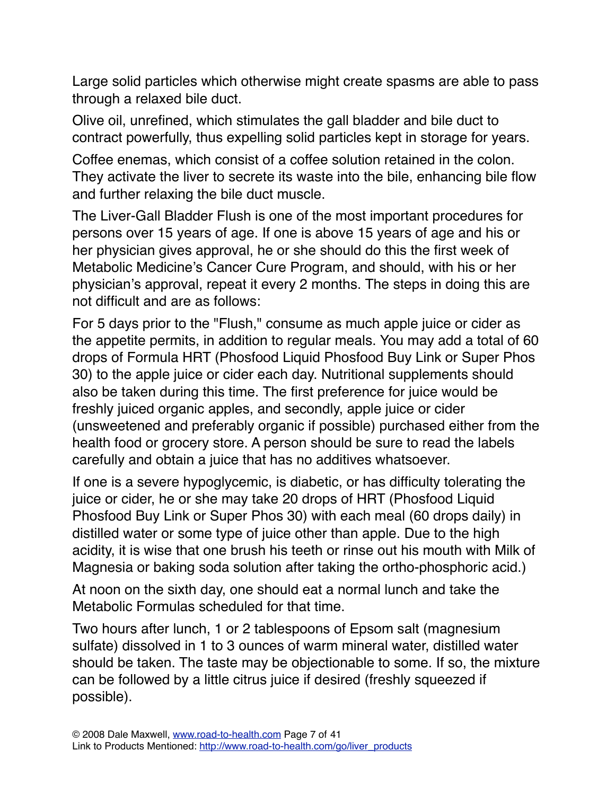Large solid particles which otherwise might create spasms are able to pass through a relaxed bile duct.

Olive oil, unrefined, which stimulates the gall bladder and bile duct to contract powerfully, thus expelling solid particles kept in storage for years.

Coffee enemas, which consist of a coffee solution retained in the colon. They activate the liver to secrete its waste into the bile, enhancing bile flow and further relaxing the bile duct muscle.

The Liver-Gall Bladder Flush is one of the most important procedures for persons over 15 years of age. If one is above 15 years of age and his or her physician gives approval, he or she should do this the first week of Metabolic Medicine's Cancer Cure Program, and should, with his or her physician's approval, repeat it every 2 months. The steps in doing this are not difficult and are as follows:

For 5 days prior to the "Flush," consume as much apple juice or cider as the appetite permits, in addition to regular meals. You may add a total of 60 drops of Formula HRT (Phosfood Liquid Phosfood Buy Link or Super Phos 30) to the apple juice or cider each day. Nutritional supplements should also be taken during this time. The first preference for juice would be freshly juiced organic apples, and secondly, apple juice or cider (unsweetened and preferably organic if possible) purchased either from the health food or grocery store. A person should be sure to read the labels carefully and obtain a juice that has no additives whatsoever.

If one is a severe hypoglycemic, is diabetic, or has difficulty tolerating the juice or cider, he or she may take 20 drops of HRT (Phosfood Liquid Phosfood Buy Link or Super Phos 30) with each meal (60 drops daily) in distilled water or some type of juice other than apple. Due to the high acidity, it is wise that one brush his teeth or rinse out his mouth with Milk of Magnesia or baking soda solution after taking the ortho-phosphoric acid.)

At noon on the sixth day, one should eat a normal lunch and take the Metabolic Formulas scheduled for that time.

Two hours after lunch, 1 or 2 tablespoons of Epsom salt (magnesium sulfate) dissolved in 1 to 3 ounces of warm mineral water, distilled water should be taken. The taste may be objectionable to some. If so, the mixture can be followed by a little citrus juice if desired (freshly squeezed if possible).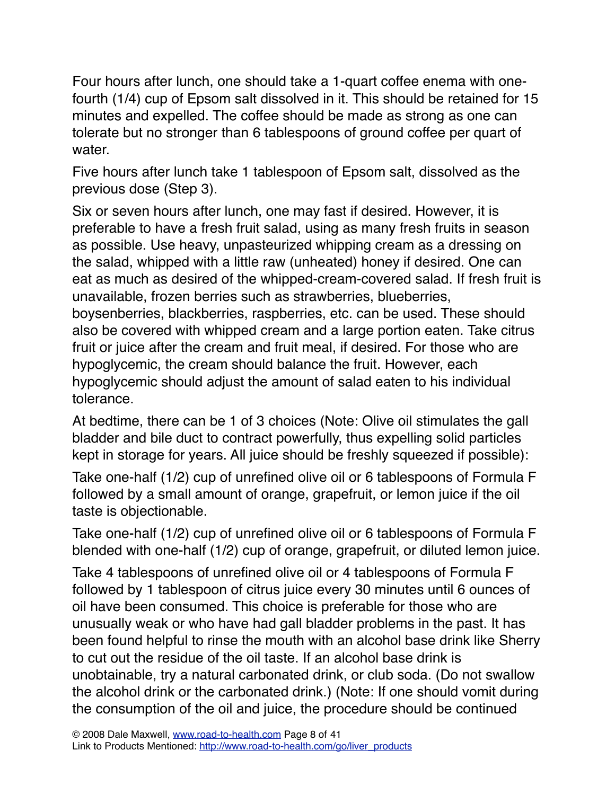Four hours after lunch, one should take a 1-quart coffee enema with onefourth (1/4) cup of Epsom salt dissolved in it. This should be retained for 15 minutes and expelled. The coffee should be made as strong as one can tolerate but no stronger than 6 tablespoons of ground coffee per quart of water.

Five hours after lunch take 1 tablespoon of Epsom salt, dissolved as the previous dose (Step 3).

Six or seven hours after lunch, one may fast if desired. However, it is preferable to have a fresh fruit salad, using as many fresh fruits in season as possible. Use heavy, unpasteurized whipping cream as a dressing on the salad, whipped with a little raw (unheated) honey if desired. One can eat as much as desired of the whipped-cream-covered salad. If fresh fruit is unavailable, frozen berries such as strawberries, blueberries, boysenberries, blackberries, raspberries, etc. can be used. These should also be covered with whipped cream and a large portion eaten. Take citrus fruit or juice after the cream and fruit meal, if desired. For those who are hypoglycemic, the cream should balance the fruit. However, each hypoglycemic should adjust the amount of salad eaten to his individual tolerance.

At bedtime, there can be 1 of 3 choices (Note: Olive oil stimulates the gall bladder and bile duct to contract powerfully, thus expelling solid particles kept in storage for years. All juice should be freshly squeezed if possible):

Take one-half (1/2) cup of unrefined olive oil or 6 tablespoons of Formula F followed by a small amount of orange, grapefruit, or lemon juice if the oil taste is objectionable.

Take one-half (1/2) cup of unrefined olive oil or 6 tablespoons of Formula F blended with one-half (1/2) cup of orange, grapefruit, or diluted lemon juice.

Take 4 tablespoons of unrefined olive oil or 4 tablespoons of Formula F followed by 1 tablespoon of citrus juice every 30 minutes until 6 ounces of oil have been consumed. This choice is preferable for those who are unusually weak or who have had gall bladder problems in the past. It has been found helpful to rinse the mouth with an alcohol base drink like Sherry to cut out the residue of the oil taste. If an alcohol base drink is unobtainable, try a natural carbonated drink, or club soda. (Do not swallow the alcohol drink or the carbonated drink.) (Note: If one should vomit during the consumption of the oil and juice, the procedure should be continued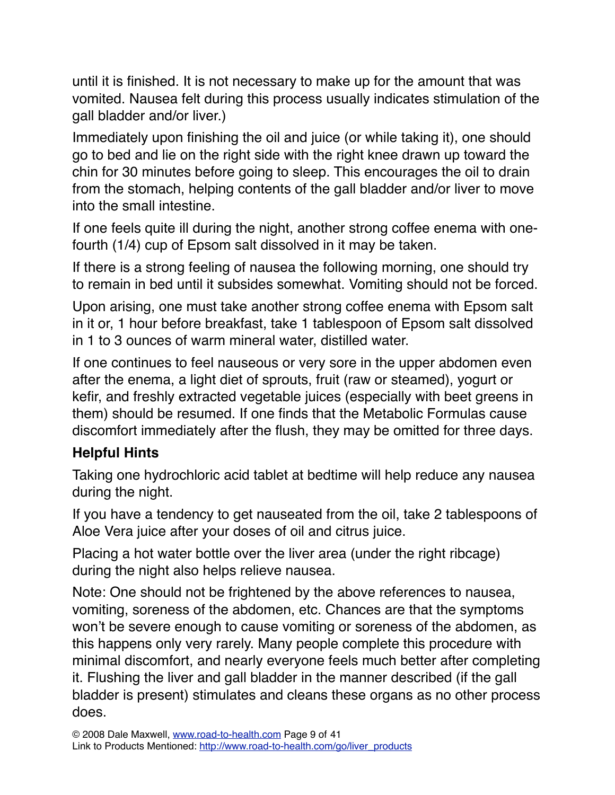until it is finished. It is not necessary to make up for the amount that was vomited. Nausea felt during this process usually indicates stimulation of the gall bladder and/or liver.)

Immediately upon finishing the oil and juice (or while taking it), one should go to bed and lie on the right side with the right knee drawn up toward the chin for 30 minutes before going to sleep. This encourages the oil to drain from the stomach, helping contents of the gall bladder and/or liver to move into the small intestine.

If one feels quite ill during the night, another strong coffee enema with onefourth (1/4) cup of Epsom salt dissolved in it may be taken.

If there is a strong feeling of nausea the following morning, one should try to remain in bed until it subsides somewhat. Vomiting should not be forced.

Upon arising, one must take another strong coffee enema with Epsom salt in it or, 1 hour before breakfast, take 1 tablespoon of Epsom salt dissolved in 1 to 3 ounces of warm mineral water, distilled water.

If one continues to feel nauseous or very sore in the upper abdomen even after the enema, a light diet of sprouts, fruit (raw or steamed), yogurt or kefir, and freshly extracted vegetable juices (especially with beet greens in them) should be resumed. If one finds that the Metabolic Formulas cause discomfort immediately after the flush, they may be omitted for three days.

#### <span id="page-8-0"></span>**Helpful Hints**

Taking one hydrochloric acid tablet at bedtime will help reduce any nausea during the night.

If you have a tendency to get nauseated from the oil, take 2 tablespoons of Aloe Vera juice after your doses of oil and citrus juice.

Placing a hot water bottle over the liver area (under the right ribcage) during the night also helps relieve nausea.

Note: One should not be frightened by the above references to nausea, vomiting, soreness of the abdomen, etc. Chances are that the symptoms won't be severe enough to cause vomiting or soreness of the abdomen, as this happens only very rarely. Many people complete this procedure with minimal discomfort, and nearly everyone feels much better after completing it. Flushing the liver and gall bladder in the manner described (if the gall bladder is present) stimulates and cleans these organs as no other process does.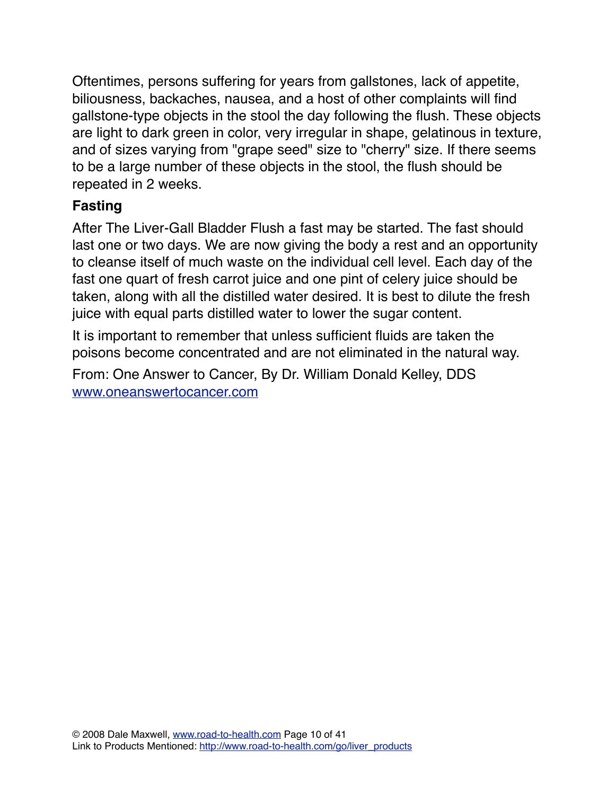Oftentimes, persons suffering for years from gallstones, lack of appetite, biliousness, backaches, nausea, and a host of other complaints will find gallstone-type objects in the stool the day following the flush. These objects are light to dark green in color, very irregular in shape, gelatinous in texture, and of sizes varying from "grape seed" size to "cherry" size. If there seems to be a large number of these objects in the stool, the flush should be repeated in 2 weeks.

#### <span id="page-9-0"></span>**Fasting**

After The Liver-Gall Bladder Flush a fast may be started. The fast should last one or two days. We are now giving the body a rest and an opportunity to cleanse itself of much waste on the individual cell level. Each day of the fast one quart of fresh carrot juice and one pint of celery juice should be taken, along with all the distilled water desired. It is best to dilute the fresh juice with equal parts distilled water to lower the sugar content.

It is important to remember that unless sufficient fluids are taken the poisons become concentrated and are not eliminated in the natural way.

From: One Answer to Cancer, By Dr. William Donald Kelley, DDS [www.oneanswertocancer.com](http://www.oneanswertocancer.com)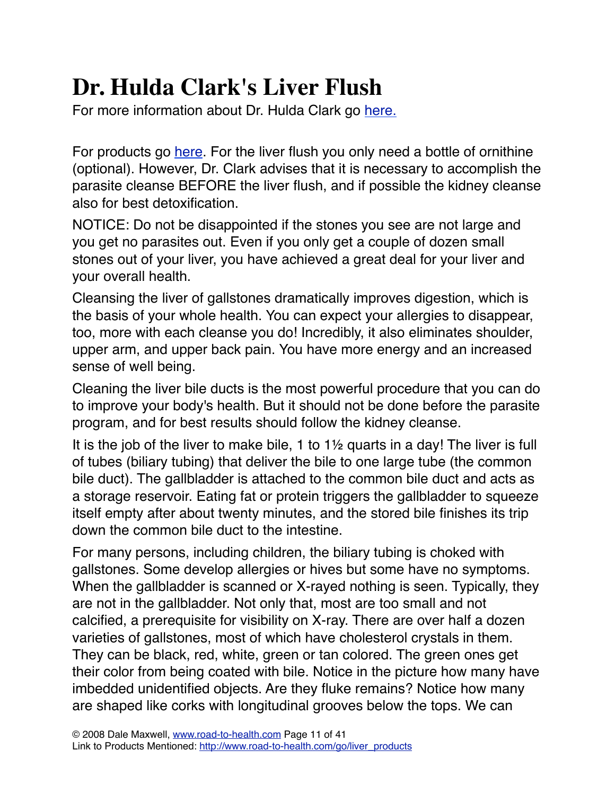# <span id="page-10-0"></span>**Dr. Hulda Clark's Liver Flush**

For more information about Dr. Hulda Clark go [here.](http://www.road-to-health.com/am/publish/cat_index_4.shtml)

For products go [here.](http://www.road-to-health.com/order.htm) For the liver flush you only need a bottle of ornithine (optional). However, Dr. Clark advises that it is necessary to accomplish the parasite cleanse BEFORE the liver flush, and if possible the kidney cleanse also for best detoxification.

NOTICE: Do not be disappointed if the stones you see are not large and you get no parasites out. Even if you only get a couple of dozen small stones out of your liver, you have achieved a great deal for your liver and your overall health.

Cleansing the liver of gallstones dramatically improves digestion, which is the basis of your whole health. You can expect your allergies to disappear, too, more with each cleanse you do! Incredibly, it also eliminates shoulder, upper arm, and upper back pain. You have more energy and an increased sense of well being.

Cleaning the liver bile ducts is the most powerful procedure that you can do to improve your body's health. But it should not be done before the parasite program, and for best results should follow the kidney cleanse.

It is the job of the liver to make bile, 1 to 1½ quarts in a day! The liver is full of tubes (biliary tubing) that deliver the bile to one large tube (the common bile duct). The gallbladder is attached to the common bile duct and acts as a storage reservoir. Eating fat or protein triggers the gallbladder to squeeze itself empty after about twenty minutes, and the stored bile finishes its trip down the common bile duct to the intestine.

For many persons, including children, the biliary tubing is choked with gallstones. Some develop allergies or hives but some have no symptoms. When the gallbladder is scanned or X-rayed nothing is seen. Typically, they are not in the gallbladder. Not only that, most are too small and not calcified, a prerequisite for visibility on X-ray. There are over half a dozen varieties of gallstones, most of which have cholesterol crystals in them. They can be black, red, white, green or tan colored. The green ones get their color from being coated with bile. Notice in the picture how many have imbedded unidentified objects. Are they fluke remains? Notice how many are shaped like corks with longitudinal grooves below the tops. We can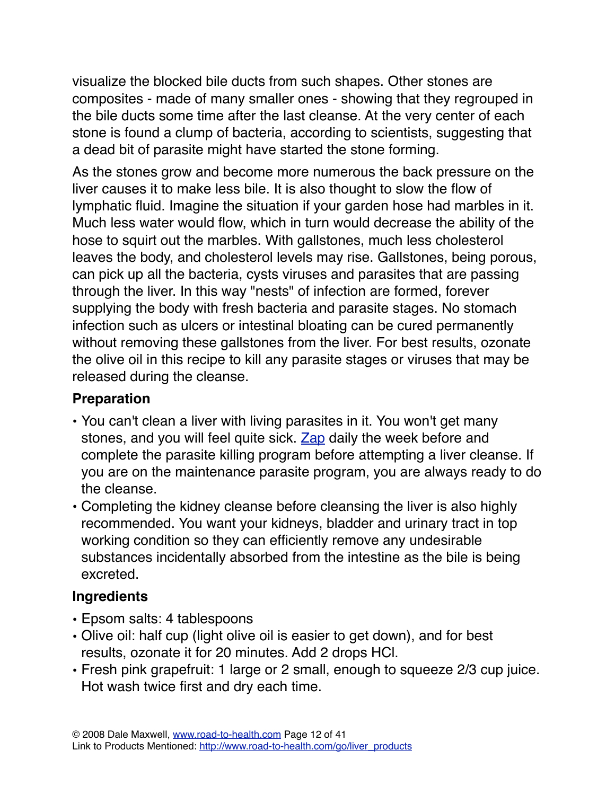visualize the blocked bile ducts from such shapes. Other stones are composites - made of many smaller ones - showing that they regrouped in the bile ducts some time after the last cleanse. At the very center of each stone is found a clump of bacteria, according to scientists, suggesting that a dead bit of parasite might have started the stone forming.

As the stones grow and become more numerous the back pressure on the liver causes it to make less bile. It is also thought to slow the flow of lymphatic fluid. Imagine the situation if your garden hose had marbles in it. Much less water would flow, which in turn would decrease the ability of the hose to squirt out the marbles. With gallstones, much less cholesterol leaves the body, and cholesterol levels may rise. Gallstones, being porous, can pick up all the bacteria, cysts viruses and parasites that are passing through the liver. In this way "nests" of infection are formed, forever supplying the body with fresh bacteria and parasite stages. No stomach infection such as ulcers or intestinal bloating can be cured permanently without removing these gallstones from the liver. For best results, ozonate the olive oil in this recipe to kill any parasite stages or viruses that may be released during the cleanse.

#### <span id="page-11-0"></span>**Preparation**

- You can't clean a liver with living parasites in it. You won't get many stones, and you will feel quite sick. [Zap](#page-40-0) daily the week before and complete the parasite killing program before attempting a liver cleanse. If you are on the maintenance parasite program, you are always ready to do the cleanse.
- Completing the kidney cleanse before cleansing the liver is also highly recommended. You want your kidneys, bladder and urinary tract in top working condition so they can efficiently remove any undesirable substances incidentally absorbed from the intestine as the bile is being excreted.

#### <span id="page-11-1"></span>**Ingredients**

- Epsom salts: 4 tablespoons
- Olive oil: half cup (light olive oil is easier to get down), and for best results, ozonate it for 20 minutes. Add 2 drops HCl.
- Fresh pink grapefruit: 1 large or 2 small, enough to squeeze 2/3 cup juice. Hot wash twice first and dry each time.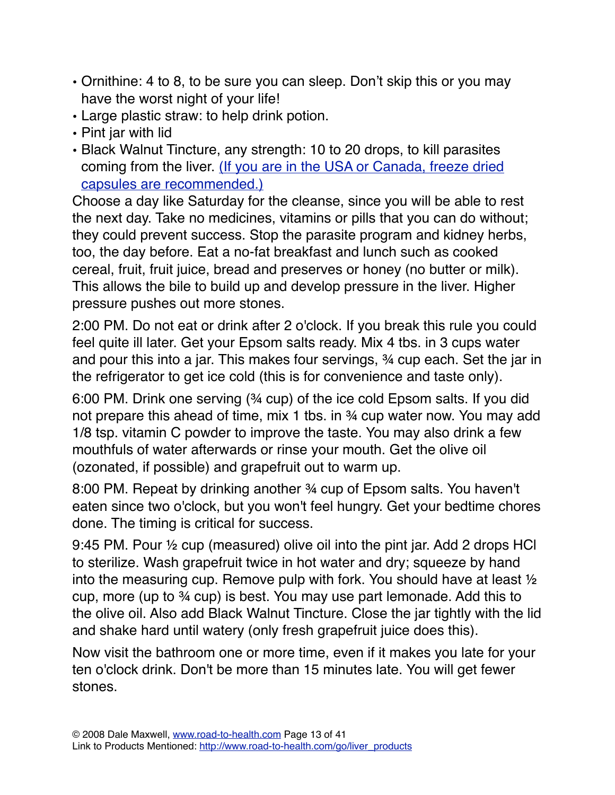- Ornithine: 4 to 8, to be sure you can sleep. Don't skip this or you may have the worst night of your life!
- Large plastic straw: to help drink potion.
- Pint jar with lid
- Black Walnut Tincture, any strength: 10 to 20 drops, to kill parasites coming from the liver. [\(If you are in the USA or Canada, freeze dried](#page-40-0)  [capsules are recommended.\)](#page-40-0)

Choose a day like Saturday for the cleanse, since you will be able to rest the next day. Take no medicines, vitamins or pills that you can do without; they could prevent success. Stop the parasite program and kidney herbs, too, the day before. Eat a no-fat breakfast and lunch such as cooked cereal, fruit, fruit juice, bread and preserves or honey (no butter or milk). This allows the bile to build up and develop pressure in the liver. Higher pressure pushes out more stones.

2:00 PM. Do not eat or drink after 2 o'clock. If you break this rule you could feel quite ill later. Get your Epsom salts ready. Mix 4 tbs. in 3 cups water and pour this into a jar. This makes four servings, ¾ cup each. Set the jar in the refrigerator to get ice cold (this is for convenience and taste only).

6:00 PM. Drink one serving (¾ cup) of the ice cold Epsom salts. If you did not prepare this ahead of time, mix 1 tbs. in <sup>3</sup>/4 cup water now. You may add 1/8 tsp. vitamin C powder to improve the taste. You may also drink a few mouthfuls of water afterwards or rinse your mouth. Get the olive oil (ozonated, if possible) and grapefruit out to warm up.

8:00 PM. Repeat by drinking another 34 cup of Epsom salts. You haven't eaten since two o'clock, but you won't feel hungry. Get your bedtime chores done. The timing is critical for success.

9:45 PM. Pour ½ cup (measured) olive oil into the pint jar. Add 2 drops HCl to sterilize. Wash grapefruit twice in hot water and dry; squeeze by hand into the measuring cup. Remove pulp with fork. You should have at least ½ cup, more (up to ¾ cup) is best. You may use part lemonade. Add this to the olive oil. Also add Black Walnut Tincture. Close the jar tightly with the lid and shake hard until watery (only fresh grapefruit juice does this).

Now visit the bathroom one or more time, even if it makes you late for your ten o'clock drink. Don't be more than 15 minutes late. You will get fewer stones.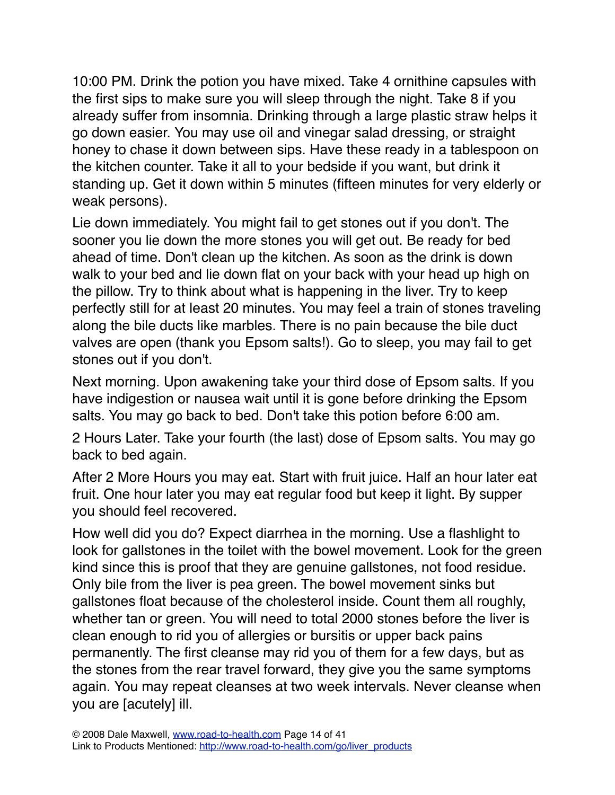10:00 PM. Drink the potion you have mixed. Take 4 ornithine capsules with the first sips to make sure you will sleep through the night. Take 8 if you already suffer from insomnia. Drinking through a large plastic straw helps it go down easier. You may use oil and vinegar salad dressing, or straight honey to chase it down between sips. Have these ready in a tablespoon on the kitchen counter. Take it all to your bedside if you want, but drink it standing up. Get it down within 5 minutes (fifteen minutes for very elderly or weak persons).

Lie down immediately. You might fail to get stones out if you don't. The sooner you lie down the more stones you will get out. Be ready for bed ahead of time. Don't clean up the kitchen. As soon as the drink is down walk to your bed and lie down flat on your back with your head up high on the pillow. Try to think about what is happening in the liver. Try to keep perfectly still for at least 20 minutes. You may feel a train of stones traveling along the bile ducts like marbles. There is no pain because the bile duct valves are open (thank you Epsom salts!). Go to sleep, you may fail to get stones out if you don't.

Next morning. Upon awakening take your third dose of Epsom salts. If you have indigestion or nausea wait until it is gone before drinking the Epsom salts. You may go back to bed. Don't take this potion before 6:00 am.

2 Hours Later. Take your fourth (the last) dose of Epsom salts. You may go back to bed again.

After 2 More Hours you may eat. Start with fruit juice. Half an hour later eat fruit. One hour later you may eat regular food but keep it light. By supper you should feel recovered.

How well did you do? Expect diarrhea in the morning. Use a flashlight to look for gallstones in the toilet with the bowel movement. Look for the green kind since this is proof that they are genuine gallstones, not food residue. Only bile from the liver is pea green. The bowel movement sinks but gallstones float because of the cholesterol inside. Count them all roughly, whether tan or green. You will need to total 2000 stones before the liver is clean enough to rid you of allergies or bursitis or upper back pains permanently. The first cleanse may rid you of them for a few days, but as the stones from the rear travel forward, they give you the same symptoms again. You may repeat cleanses at two week intervals. Never cleanse when you are [acutely] ill.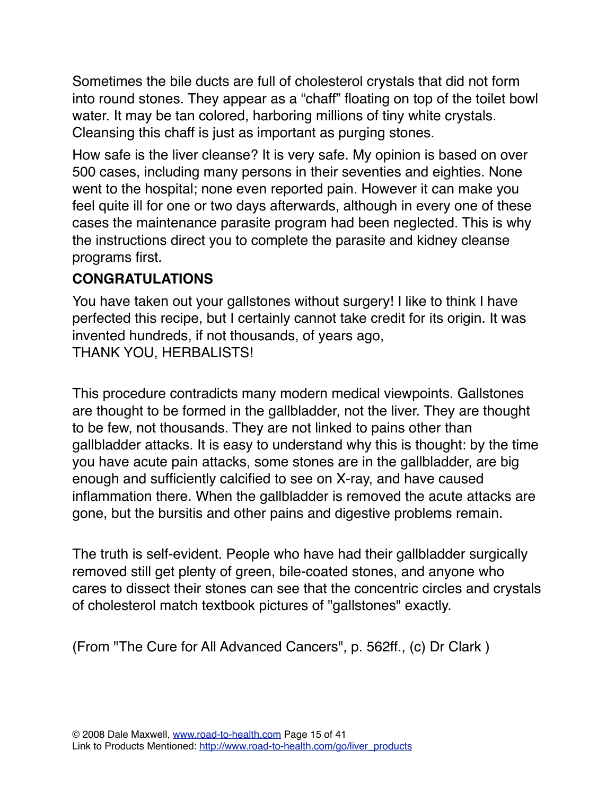Sometimes the bile ducts are full of cholesterol crystals that did not form into round stones. They appear as a "chaff" floating on top of the toilet bowl water. It may be tan colored, harboring millions of tiny white crystals. Cleansing this chaff is just as important as purging stones.

How safe is the liver cleanse? It is very safe. My opinion is based on over 500 cases, including many persons in their seventies and eighties. None went to the hospital; none even reported pain. However it can make you feel quite ill for one or two days afterwards, although in every one of these cases the maintenance parasite program had been neglected. This is why the instructions direct you to complete the parasite and kidney cleanse programs first.

#### <span id="page-14-0"></span>**CONGRATULATIONS**

You have taken out your gallstones without surgery! I like to think I have perfected this recipe, but I certainly cannot take credit for its origin. It was invented hundreds, if not thousands, of years ago, THANK YOU, HERBALISTS!

This procedure contradicts many modern medical viewpoints. Gallstones are thought to be formed in the gallbladder, not the liver. They are thought to be few, not thousands. They are not linked to pains other than gallbladder attacks. It is easy to understand why this is thought: by the time you have acute pain attacks, some stones are in the gallbladder, are big enough and sufficiently calcified to see on X-ray, and have caused inflammation there. When the gallbladder is removed the acute attacks are gone, but the bursitis and other pains and digestive problems remain.

The truth is self-evident. People who have had their gallbladder surgically removed still get plenty of green, bile-coated stones, and anyone who cares to dissect their stones can see that the concentric circles and crystals of cholesterol match textbook pictures of "gallstones" exactly.

(From "The Cure for All Advanced Cancers", p. 562ff., (c) Dr Clark )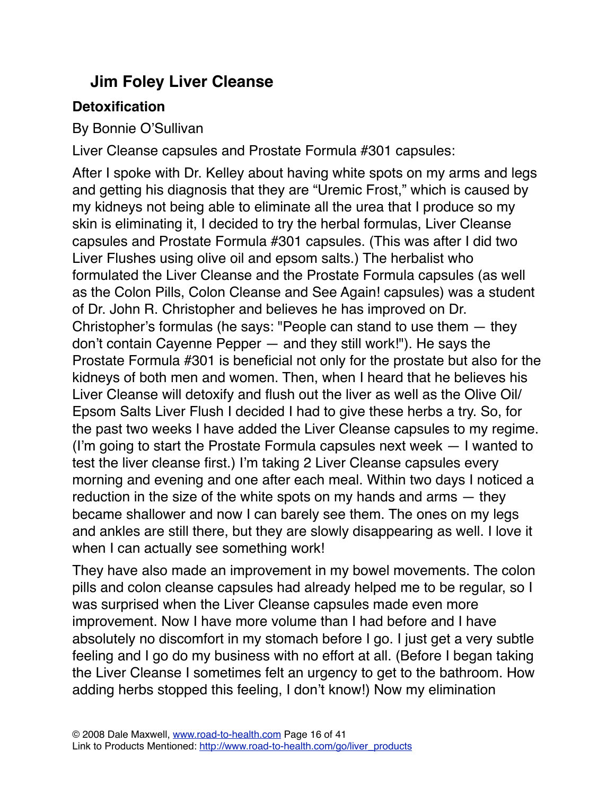# <span id="page-15-0"></span>**Jim Foley Liver Cleanse**

#### <span id="page-15-1"></span>**Detoxification**

#### By Bonnie O'Sullivan

Liver Cleanse capsules and Prostate Formula #301 capsules:

After I spoke with Dr. Kelley about having white spots on my arms and legs and getting his diagnosis that they are "Uremic Frost," which is caused by my kidneys not being able to eliminate all the urea that I produce so my skin is eliminating it, I decided to try the herbal formulas, Liver Cleanse capsules and Prostate Formula #301 capsules. (This was after I did two Liver Flushes using olive oil and epsom salts.) The herbalist who formulated the Liver Cleanse and the Prostate Formula capsules (as well as the Colon Pills, Colon Cleanse and See Again! capsules) was a student of Dr. John R. Christopher and believes he has improved on Dr. Christopher's formulas (he says: "People can stand to use them — they don't contain Cayenne Pepper — and they still work!"). He says the Prostate Formula #301 is beneficial not only for the prostate but also for the kidneys of both men and women. Then, when I heard that he believes his Liver Cleanse will detoxify and flush out the liver as well as the Olive Oil/ Epsom Salts Liver Flush I decided I had to give these herbs a try. So, for the past two weeks I have added the Liver Cleanse capsules to my regime. (I'm going to start the Prostate Formula capsules next week — I wanted to test the liver cleanse first.) I'm taking 2 Liver Cleanse capsules every morning and evening and one after each meal. Within two days I noticed a reduction in the size of the white spots on my hands and arms — they became shallower and now I can barely see them. The ones on my legs and ankles are still there, but they are slowly disappearing as well. I love it when I can actually see something work!

They have also made an improvement in my bowel movements. The colon pills and colon cleanse capsules had already helped me to be regular, so I was surprised when the Liver Cleanse capsules made even more improvement. Now I have more volume than I had before and I have absolutely no discomfort in my stomach before I go. I just get a very subtle feeling and I go do my business with no effort at all. (Before I began taking the Liver Cleanse I sometimes felt an urgency to get to the bathroom. How adding herbs stopped this feeling, I don't know!) Now my elimination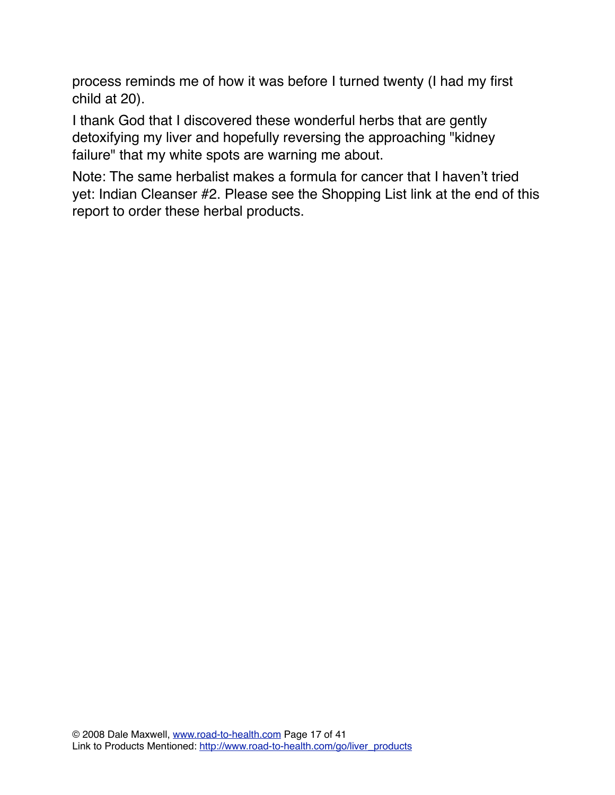process reminds me of how it was before I turned twenty (I had my first child at 20).

I thank God that I discovered these wonderful herbs that are gently detoxifying my liver and hopefully reversing the approaching "kidney failure" that my white spots are warning me about.

Note: The same herbalist makes a formula for cancer that I haven't tried yet: Indian Cleanser #2. Please see the Shopping List link at the end of this report to order these herbal products.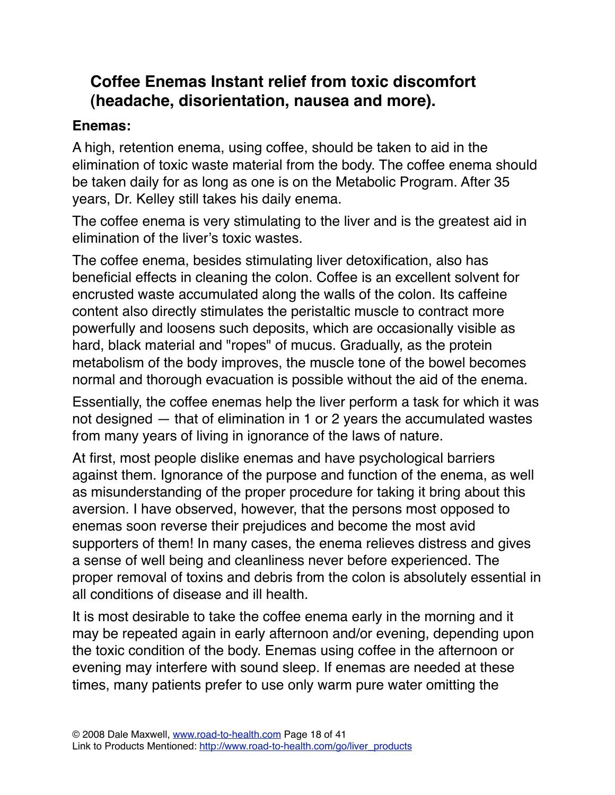#### <span id="page-17-0"></span>**Coffee Enemas Instant relief from toxic discomfort (headache, disorientation, nausea and more).**

#### <span id="page-17-1"></span>**Enemas:**

A high, retention enema, using coffee, should be taken to aid in the elimination of toxic waste material from the body. The coffee enema should be taken daily for as long as one is on the Metabolic Program. After 35 years, Dr. Kelley still takes his daily enema.

The coffee enema is very stimulating to the liver and is the greatest aid in elimination of the liver's toxic wastes.

The coffee enema, besides stimulating liver detoxification, also has beneficial effects in cleaning the colon. Coffee is an excellent solvent for encrusted waste accumulated along the walls of the colon. Its caffeine content also directly stimulates the peristaltic muscle to contract more powerfully and loosens such deposits, which are occasionally visible as hard, black material and "ropes" of mucus. Gradually, as the protein metabolism of the body improves, the muscle tone of the bowel becomes normal and thorough evacuation is possible without the aid of the enema.

Essentially, the coffee enemas help the liver perform a task for which it was not designed — that of elimination in 1 or 2 years the accumulated wastes from many years of living in ignorance of the laws of nature.

At first, most people dislike enemas and have psychological barriers against them. Ignorance of the purpose and function of the enema, as well as misunderstanding of the proper procedure for taking it bring about this aversion. I have observed, however, that the persons most opposed to enemas soon reverse their prejudices and become the most avid supporters of them! In many cases, the enema relieves distress and gives a sense of well being and cleanliness never before experienced. The proper removal of toxins and debris from the colon is absolutely essential in all conditions of disease and ill health.

It is most desirable to take the coffee enema early in the morning and it may be repeated again in early afternoon and/or evening, depending upon the toxic condition of the body. Enemas using coffee in the afternoon or evening may interfere with sound sleep. If enemas are needed at these times, many patients prefer to use only warm pure water omitting the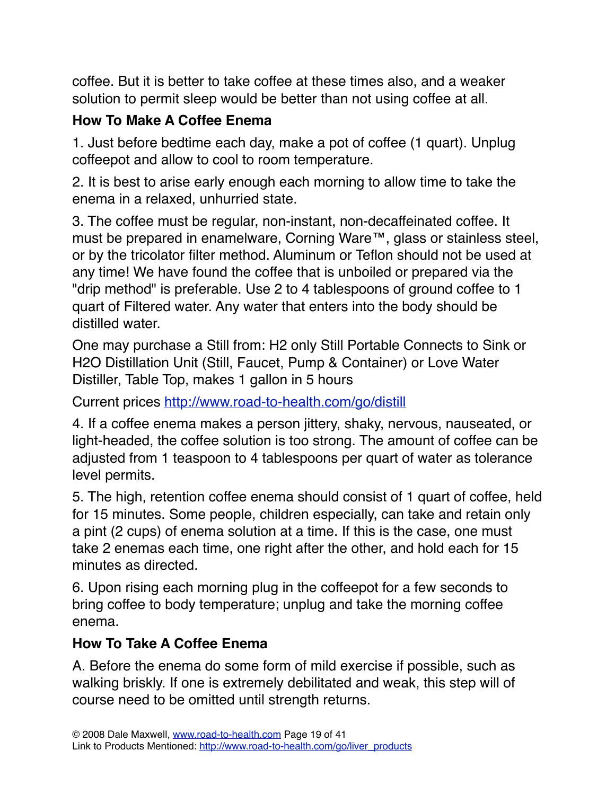coffee. But it is better to take coffee at these times also, and a weaker solution to permit sleep would be better than not using coffee at all.

#### <span id="page-18-0"></span>**How To Make A Coffee Enema**

1. Just before bedtime each day, make a pot of coffee (1 quart). Unplug coffeepot and allow to cool to room temperature.

2. It is best to arise early enough each morning to allow time to take the enema in a relaxed, unhurried state.

3. The coffee must be regular, non-instant, non-decaffeinated coffee. It must be prepared in enamelware, Corning Ware™, glass or stainless steel, or by the tricolator filter method. Aluminum or Teflon should not be used at any time! We have found the coffee that is unboiled or prepared via the "drip method" is preferable. Use 2 to 4 tablespoons of ground coffee to 1 quart of Filtered water. Any water that enters into the body should be distilled water.

One may purchase a Still from: H2 only Still Portable Connects to Sink or H2O Distillation Unit (Still, Faucet, Pump & Container) or Love Water Distiller, Table Top, makes 1 gallon in 5 hours

Current prices <http://www.road-to-health.com/go/distill>

4. If a coffee enema makes a person jittery, shaky, nervous, nauseated, or light-headed, the coffee solution is too strong. The amount of coffee can be adjusted from 1 teaspoon to 4 tablespoons per quart of water as tolerance level permits.

5. The high, retention coffee enema should consist of 1 quart of coffee, held for 15 minutes. Some people, children especially, can take and retain only a pint (2 cups) of enema solution at a time. If this is the case, one must take 2 enemas each time, one right after the other, and hold each for 15 minutes as directed.

6. Upon rising each morning plug in the coffeepot for a few seconds to bring coffee to body temperature; unplug and take the morning coffee enema.

#### <span id="page-18-1"></span>**How To Take A Coffee Enema**

A. Before the enema do some form of mild exercise if possible, such as walking briskly. If one is extremely debilitated and weak, this step will of course need to be omitted until strength returns.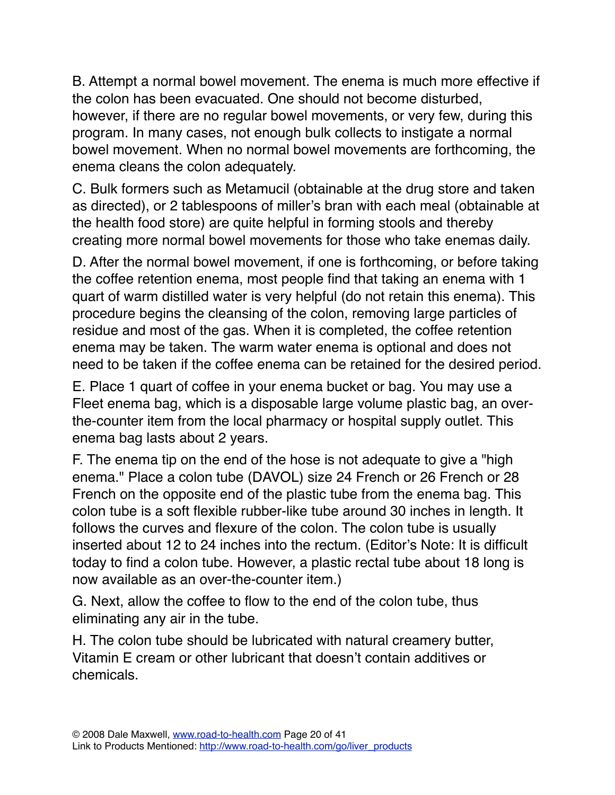B. Attempt a normal bowel movement. The enema is much more effective if the colon has been evacuated. One should not become disturbed, however, if there are no regular bowel movements, or very few, during this program. In many cases, not enough bulk collects to instigate a normal bowel movement. When no normal bowel movements are forthcoming, the enema cleans the colon adequately.

C. Bulk formers such as Metamucil (obtainable at the drug store and taken as directed), or 2 tablespoons of miller's bran with each meal (obtainable at the health food store) are quite helpful in forming stools and thereby creating more normal bowel movements for those who take enemas daily.

D. After the normal bowel movement, if one is forthcoming, or before taking the coffee retention enema, most people find that taking an enema with 1 quart of warm distilled water is very helpful (do not retain this enema). This procedure begins the cleansing of the colon, removing large particles of residue and most of the gas. When it is completed, the coffee retention enema may be taken. The warm water enema is optional and does not need to be taken if the coffee enema can be retained for the desired period.

E. Place 1 quart of coffee in your enema bucket or bag. You may use a Fleet enema bag, which is a disposable large volume plastic bag, an overthe-counter item from the local pharmacy or hospital supply outlet. This enema bag lasts about 2 years.

F. The enema tip on the end of the hose is not adequate to give a "high enema." Place a colon tube (DAVOL) size 24 French or 26 French or 28 French on the opposite end of the plastic tube from the enema bag. This colon tube is a soft flexible rubber-like tube around 30 inches in length. It follows the curves and flexure of the colon. The colon tube is usually inserted about 12 to 24 inches into the rectum. (Editor's Note: It is difficult today to find a colon tube. However, a plastic rectal tube about 18 long is now available as an over-the-counter item.)

G. Next, allow the coffee to flow to the end of the colon tube, thus eliminating any air in the tube.

H. The colon tube should be lubricated with natural creamery butter, Vitamin E cream or other lubricant that doesn't contain additives or chemicals.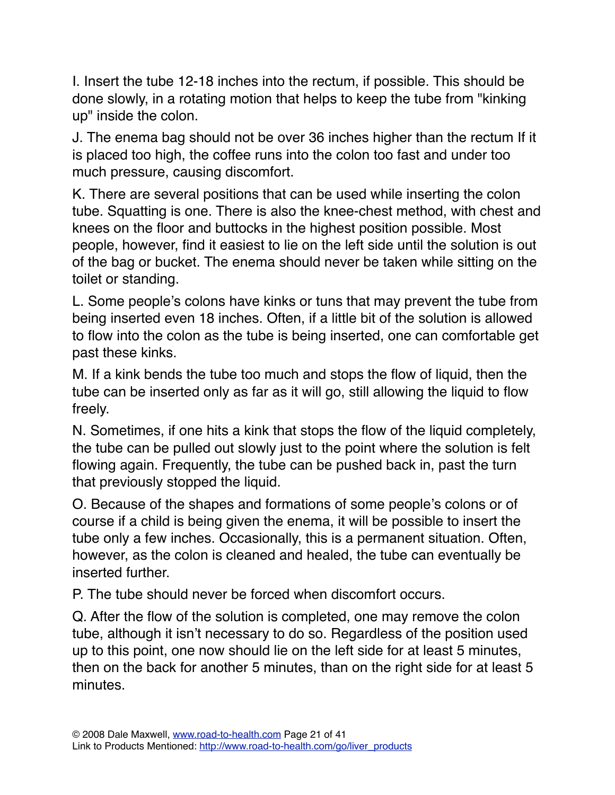I. Insert the tube 12-18 inches into the rectum, if possible. This should be done slowly, in a rotating motion that helps to keep the tube from "kinking up" inside the colon.

J. The enema bag should not be over 36 inches higher than the rectum If it is placed too high, the coffee runs into the colon too fast and under too much pressure, causing discomfort.

K. There are several positions that can be used while inserting the colon tube. Squatting is one. There is also the knee-chest method, with chest and knees on the floor and buttocks in the highest position possible. Most people, however, find it easiest to lie on the left side until the solution is out of the bag or bucket. The enema should never be taken while sitting on the toilet or standing.

L. Some people's colons have kinks or tuns that may prevent the tube from being inserted even 18 inches. Often, if a little bit of the solution is allowed to flow into the colon as the tube is being inserted, one can comfortable get past these kinks.

M. If a kink bends the tube too much and stops the flow of liquid, then the tube can be inserted only as far as it will go, still allowing the liquid to flow freely.

N. Sometimes, if one hits a kink that stops the flow of the liquid completely, the tube can be pulled out slowly just to the point where the solution is felt flowing again. Frequently, the tube can be pushed back in, past the turn that previously stopped the liquid.

O. Because of the shapes and formations of some people's colons or of course if a child is being given the enema, it will be possible to insert the tube only a few inches. Occasionally, this is a permanent situation. Often, however, as the colon is cleaned and healed, the tube can eventually be inserted further.

P. The tube should never be forced when discomfort occurs.

Q. After the flow of the solution is completed, one may remove the colon tube, although it isn't necessary to do so. Regardless of the position used up to this point, one now should lie on the left side for at least 5 minutes, then on the back for another 5 minutes, than on the right side for at least 5 minutes.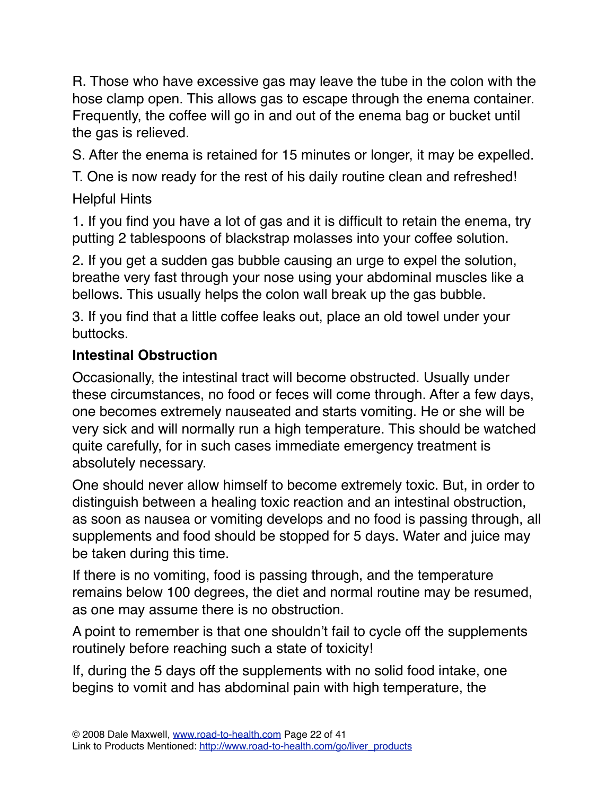R. Those who have excessive gas may leave the tube in the colon with the hose clamp open. This allows gas to escape through the enema container. Frequently, the coffee will go in and out of the enema bag or bucket until the gas is relieved.

S. After the enema is retained for 15 minutes or longer, it may be expelled.

T. One is now ready for the rest of his daily routine clean and refreshed!

#### Helpful Hints

1. If you find you have a lot of gas and it is difficult to retain the enema, try putting 2 tablespoons of blackstrap molasses into your coffee solution.

2. If you get a sudden gas bubble causing an urge to expel the solution, breathe very fast through your nose using your abdominal muscles like a bellows. This usually helps the colon wall break up the gas bubble.

3. If you find that a little coffee leaks out, place an old towel under your buttocks.

#### <span id="page-21-0"></span>**Intestinal Obstruction**

Occasionally, the intestinal tract will become obstructed. Usually under these circumstances, no food or feces will come through. After a few days, one becomes extremely nauseated and starts vomiting. He or she will be very sick and will normally run a high temperature. This should be watched quite carefully, for in such cases immediate emergency treatment is absolutely necessary.

One should never allow himself to become extremely toxic. But, in order to distinguish between a healing toxic reaction and an intestinal obstruction, as soon as nausea or vomiting develops and no food is passing through, all supplements and food should be stopped for 5 days. Water and juice may be taken during this time.

If there is no vomiting, food is passing through, and the temperature remains below 100 degrees, the diet and normal routine may be resumed, as one may assume there is no obstruction.

A point to remember is that one shouldn't fail to cycle off the supplements routinely before reaching such a state of toxicity!

If, during the 5 days off the supplements with no solid food intake, one begins to vomit and has abdominal pain with high temperature, the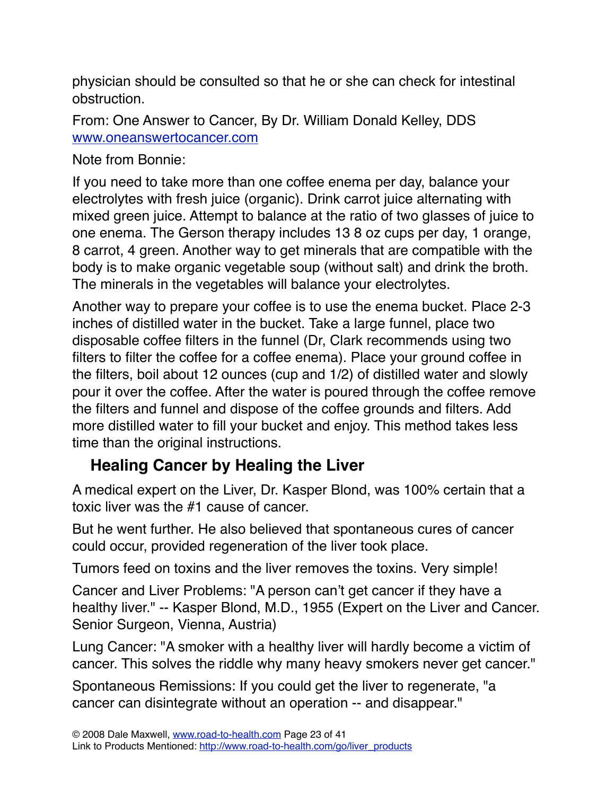physician should be consulted so that he or she can check for intestinal obstruction.

From: One Answer to Cancer, By Dr. William Donald Kelley, DDS [www.oneanswertocancer.com](http://www.oneanswertocancer.com)

Note from Bonnie:

If you need to take more than one coffee enema per day, balance your electrolytes with fresh juice (organic). Drink carrot juice alternating with mixed green juice. Attempt to balance at the ratio of two glasses of juice to one enema. The Gerson therapy includes 13 8 oz cups per day, 1 orange, 8 carrot, 4 green. Another way to get minerals that are compatible with the body is to make organic vegetable soup (without salt) and drink the broth. The minerals in the vegetables will balance your electrolytes.

Another way to prepare your coffee is to use the enema bucket. Place 2-3 inches of distilled water in the bucket. Take a large funnel, place two disposable coffee filters in the funnel (Dr, Clark recommends using two filters to filter the coffee for a coffee enema). Place your ground coffee in the filters, boil about 12 ounces (cup and 1/2) of distilled water and slowly pour it over the coffee. After the water is poured through the coffee remove the filters and funnel and dispose of the coffee grounds and filters. Add more distilled water to fill your bucket and enjoy. This method takes less time than the original instructions.

# <span id="page-22-0"></span>**Healing Cancer by Healing the Liver**

A medical expert on the Liver, Dr. Kasper Blond, was 100% certain that a toxic liver was the #1 cause of cancer.

But he went further. He also believed that spontaneous cures of cancer could occur, provided regeneration of the liver took place.

Tumors feed on toxins and the liver removes the toxins. Very simple!

Cancer and Liver Problems: "A person can't get cancer if they have a healthy liver." -- Kasper Blond, M.D., 1955 (Expert on the Liver and Cancer. Senior Surgeon, Vienna, Austria)

Lung Cancer: "A smoker with a healthy liver will hardly become a victim of cancer. This solves the riddle why many heavy smokers never get cancer."

Spontaneous Remissions: If you could get the liver to regenerate, "a cancer can disintegrate without an operation -- and disappear."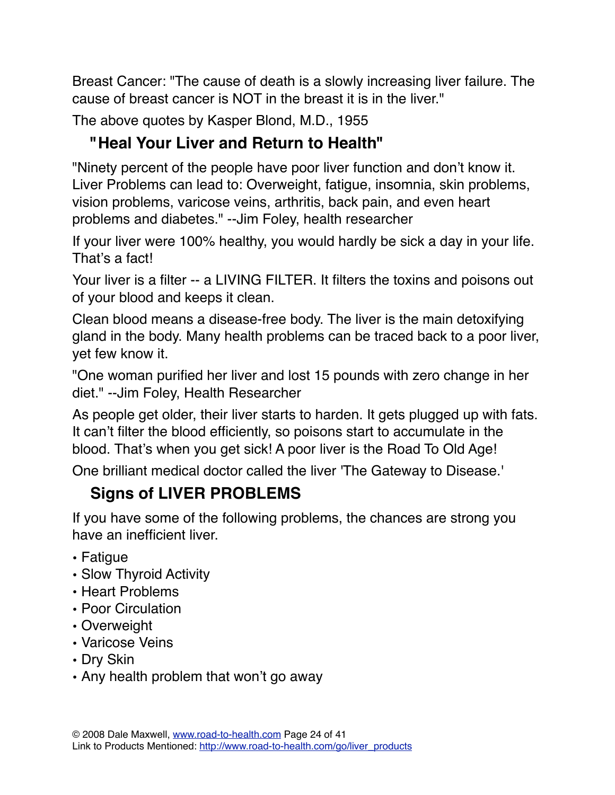Breast Cancer: "The cause of death is a slowly increasing liver failure. The cause of breast cancer is NOT in the breast it is in the liver."

The above quotes by Kasper Blond, M.D., 1955

# <span id="page-23-0"></span>**"Heal Your Liver and Return to Health"**

"Ninety percent of the people have poor liver function and don't know it. Liver Problems can lead to: Overweight, fatigue, insomnia, skin problems, vision problems, varicose veins, arthritis, back pain, and even heart problems and diabetes." --Jim Foley, health researcher

If your liver were 100% healthy, you would hardly be sick a day in your life. That's a fact!

Your liver is a filter -- a LIVING FILTER. It filters the toxins and poisons out of your blood and keeps it clean.

Clean blood means a disease-free body. The liver is the main detoxifying gland in the body. Many health problems can be traced back to a poor liver, yet few know it.

"One woman purified her liver and lost 15 pounds with zero change in her diet." --Jim Foley, Health Researcher

As people get older, their liver starts to harden. It gets plugged up with fats. It can't filter the blood efficiently, so poisons start to accumulate in the blood. That's when you get sick! A poor liver is the Road To Old Age!

One brilliant medical doctor called the liver 'The Gateway to Disease.'

# <span id="page-23-1"></span>**Signs of LIVER PROBLEMS**

If you have some of the following problems, the chances are strong you have an inefficient liver.

- Fatigue
- Slow Thyroid Activity
- Heart Problems
- Poor Circulation
- Overweight
- Varicose Veins
- Dry Skin
- Any health problem that won't go away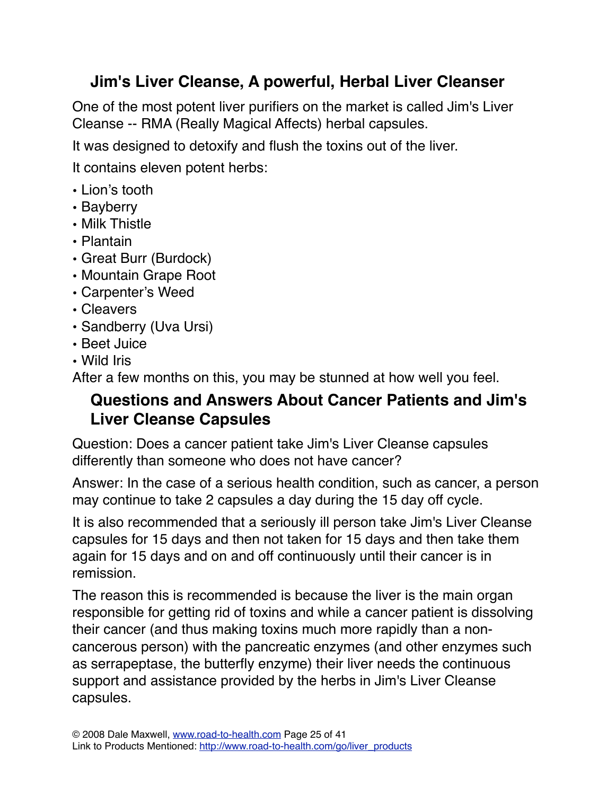# <span id="page-24-0"></span>**Jim's Liver Cleanse, A powerful, Herbal Liver Cleanser**

One of the most potent liver purifiers on the market is called Jim's Liver Cleanse -- RMA (Really Magical Affects) herbal capsules.

It was designed to detoxify and flush the toxins out of the liver.

It contains eleven potent herbs:

- Lion's tooth
- Bayberry
- Milk Thistle
- Plantain
- Great Burr (Burdock)
- Mountain Grape Root
- Carpenter's Weed
- Cleavers
- Sandberry (Uva Ursi)
- Beet Juice
- Wild Iris

After a few months on this, you may be stunned at how well you feel.

#### <span id="page-24-1"></span>**Questions and Answers About Cancer Patients and Jim's Liver Cleanse Capsules**

Question: Does a cancer patient take Jim's Liver Cleanse capsules differently than someone who does not have cancer?

Answer: In the case of a serious health condition, such as cancer, a person may continue to take 2 capsules a day during the 15 day off cycle.

It is also recommended that a seriously ill person take Jim's Liver Cleanse capsules for 15 days and then not taken for 15 days and then take them again for 15 days and on and off continuously until their cancer is in remission.

The reason this is recommended is because the liver is the main organ responsible for getting rid of toxins and while a cancer patient is dissolving their cancer (and thus making toxins much more rapidly than a noncancerous person) with the pancreatic enzymes (and other enzymes such as serrapeptase, the butterfly enzyme) their liver needs the continuous support and assistance provided by the herbs in Jim's Liver Cleanse capsules.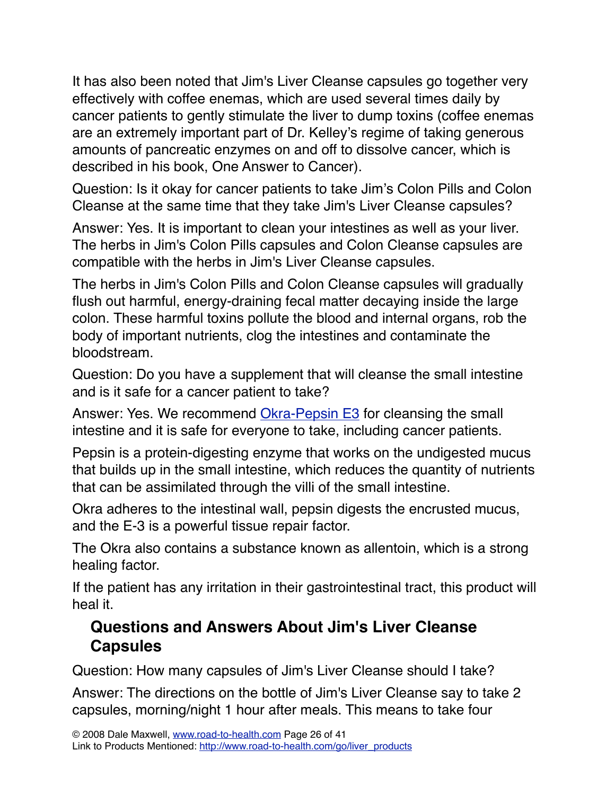It has also been noted that Jim's Liver Cleanse capsules go together very effectively with coffee enemas, which are used several times daily by cancer patients to gently stimulate the liver to dump toxins (coffee enemas are an extremely important part of Dr. Kelley's regime of taking generous amounts of pancreatic enzymes on and off to dissolve cancer, which is described in his book, One Answer to Cancer).

Question: Is it okay for cancer patients to take Jim's Colon Pills and Colon Cleanse at the same time that they take Jim's Liver Cleanse capsules?

Answer: Yes. It is important to clean your intestines as well as your liver. The herbs in Jim's Colon Pills capsules and Colon Cleanse capsules are compatible with the herbs in Jim's Liver Cleanse capsules.

The herbs in Jim's Colon Pills and Colon Cleanse capsules will gradually flush out harmful, energy-draining fecal matter decaying inside the large colon. These harmful toxins pollute the blood and internal organs, rob the body of important nutrients, clog the intestines and contaminate the bloodstream.

Question: Do you have a supplement that will cleanse the small intestine and is it safe for a cancer patient to take?

Answer: Yes. We recommend [Okra-Pepsin E3](#page-40-0) for cleansing the small intestine and it is safe for everyone to take, including cancer patients.

Pepsin is a protein-digesting enzyme that works on the undigested mucus that builds up in the small intestine, which reduces the quantity of nutrients that can be assimilated through the villi of the small intestine.

Okra adheres to the intestinal wall, pepsin digests the encrusted mucus, and the E-3 is a powerful tissue repair factor.

The Okra also contains a substance known as allentoin, which is a strong healing factor.

If the patient has any irritation in their gastrointestinal tract, this product will heal it.

#### <span id="page-25-0"></span>**Questions and Answers About Jim's Liver Cleanse Capsules**

Question: How many capsules of Jim's Liver Cleanse should I take?

Answer: The directions on the bottle of Jim's Liver Cleanse say to take 2 capsules, morning/night 1 hour after meals. This means to take four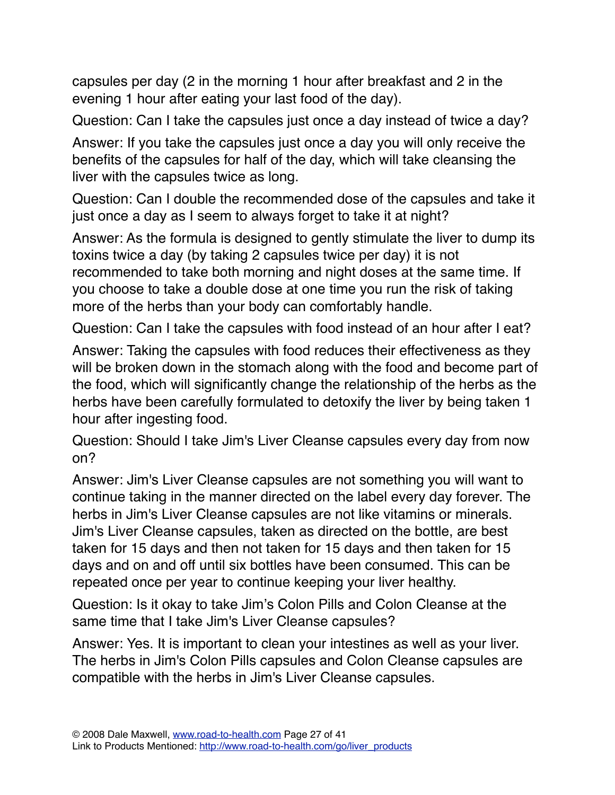capsules per day (2 in the morning 1 hour after breakfast and 2 in the evening 1 hour after eating your last food of the day).

Question: Can I take the capsules just once a day instead of twice a day?

Answer: If you take the capsules just once a day you will only receive the benefits of the capsules for half of the day, which will take cleansing the liver with the capsules twice as long.

Question: Can I double the recommended dose of the capsules and take it just once a day as I seem to always forget to take it at night?

Answer: As the formula is designed to gently stimulate the liver to dump its toxins twice a day (by taking 2 capsules twice per day) it is not recommended to take both morning and night doses at the same time. If you choose to take a double dose at one time you run the risk of taking more of the herbs than your body can comfortably handle.

Question: Can I take the capsules with food instead of an hour after I eat?

Answer: Taking the capsules with food reduces their effectiveness as they will be broken down in the stomach along with the food and become part of the food, which will significantly change the relationship of the herbs as the herbs have been carefully formulated to detoxify the liver by being taken 1 hour after ingesting food.

Question: Should I take Jim's Liver Cleanse capsules every day from now on?

Answer: Jim's Liver Cleanse capsules are not something you will want to continue taking in the manner directed on the label every day forever. The herbs in Jim's Liver Cleanse capsules are not like vitamins or minerals. Jim's Liver Cleanse capsules, taken as directed on the bottle, are best taken for 15 days and then not taken for 15 days and then taken for 15 days and on and off until six bottles have been consumed. This can be repeated once per year to continue keeping your liver healthy.

Question: Is it okay to take Jim's Colon Pills and Colon Cleanse at the same time that I take Jim's Liver Cleanse capsules?

Answer: Yes. It is important to clean your intestines as well as your liver. The herbs in Jim's Colon Pills capsules and Colon Cleanse capsules are compatible with the herbs in Jim's Liver Cleanse capsules.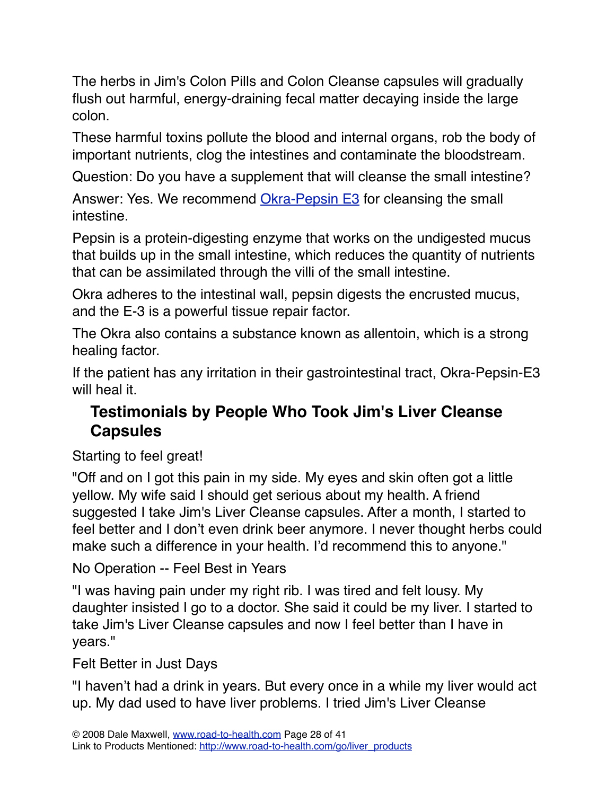The herbs in Jim's Colon Pills and Colon Cleanse capsules will gradually flush out harmful, energy-draining fecal matter decaying inside the large colon.

These harmful toxins pollute the blood and internal organs, rob the body of important nutrients, clog the intestines and contaminate the bloodstream.

Question: Do you have a supplement that will cleanse the small intestine?

Answer: Yes. We recommend [Okra-Pepsin E3](#page-40-0) for cleansing the small intestine.

Pepsin is a protein-digesting enzyme that works on the undigested mucus that builds up in the small intestine, which reduces the quantity of nutrients that can be assimilated through the villi of the small intestine.

Okra adheres to the intestinal wall, pepsin digests the encrusted mucus, and the E-3 is a powerful tissue repair factor.

The Okra also contains a substance known as allentoin, which is a strong healing factor.

If the patient has any irritation in their gastrointestinal tract, Okra-Pepsin-E3 will heal it.

#### <span id="page-27-0"></span>**Testimonials by People Who Took Jim's Liver Cleanse Capsules**

#### Starting to feel great!

"Off and on I got this pain in my side. My eyes and skin often got a little yellow. My wife said I should get serious about my health. A friend suggested I take Jim's Liver Cleanse capsules. After a month, I started to feel better and I don't even drink beer anymore. I never thought herbs could make such a difference in your health. I'd recommend this to anyone."

No Operation -- Feel Best in Years

"I was having pain under my right rib. I was tired and felt lousy. My daughter insisted I go to a doctor. She said it could be my liver. I started to take Jim's Liver Cleanse capsules and now I feel better than I have in years."

Felt Better in Just Days

"I haven't had a drink in years. But every once in a while my liver would act up. My dad used to have liver problems. I tried Jim's Liver Cleanse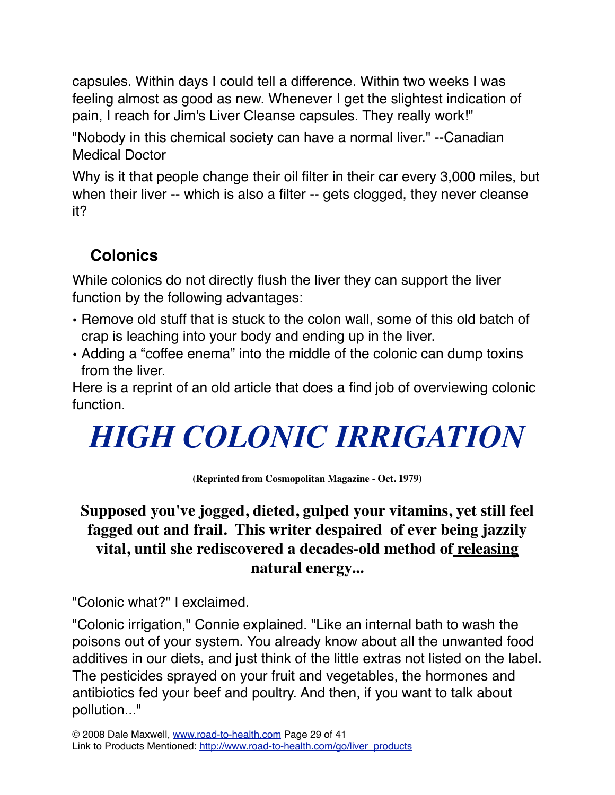capsules. Within days I could tell a difference. Within two weeks I was feeling almost as good as new. Whenever I get the slightest indication of pain, I reach for Jim's Liver Cleanse capsules. They really work!"

"Nobody in this chemical society can have a normal liver." --Canadian Medical Doctor

Why is it that people change their oil filter in their car every 3,000 miles, but when their liver -- which is also a filter -- gets clogged, they never cleanse it?

# <span id="page-28-0"></span>**Colonics**

While colonics do not directly flush the liver they can support the liver function by the following advantages:

- Remove old stuff that is stuck to the colon wall, some of this old batch of crap is leaching into your body and ending up in the liver.
- Adding a "coffee enema" into the middle of the colonic can dump toxins from the liver.

Here is a reprint of an old article that does a find job of overviewing colonic function.

# *HIGH COLONIC IRRIGATION*

**(Reprinted from Cosmopolitan Magazine - Oct. 1979)**

#### **Supposed you've jogged, dieted, gulped your vitamins, yet still feel fagged out and frail. This writer despaired of ever being jazzily vital, until she rediscovered a decades-old method of releasing natural energy...**

"Colonic what?" I exclaimed.

"Colonic irrigation," Connie explained. "Like an internal bath to wash the poisons out of your system. You already know about all the unwanted food additives in our diets, and just think of the little extras not listed on the label. The pesticides sprayed on your fruit and vegetables, the hormones and antibiotics fed your beef and poultry. And then, if you want to talk about pollution..."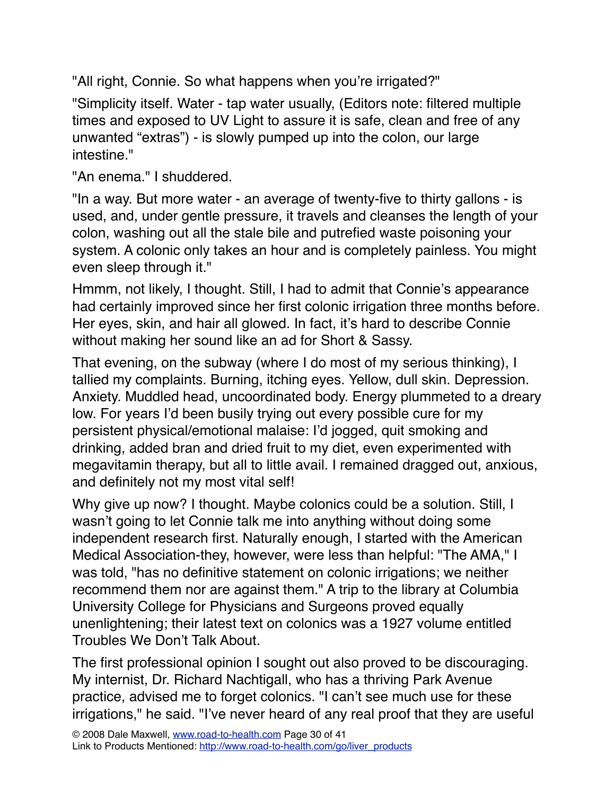"All right, Connie. So what happens when you're irrigated?"

"Simplicity itself. Water - tap water usually, (Editors note: filtered multiple times and exposed to UV Light to assure it is safe, clean and free of any unwanted "extras") - is slowly pumped up into the colon, our large intestine."

"An enema." I shuddered.

"In a way. But more water - an average of twenty-five to thirty gallons - is used, and, under gentle pressure, it travels and cleanses the length of your colon, washing out all the stale bile and putrefied waste poisoning your system. A colonic only takes an hour and is completely painless. You might even sleep through it."

Hmmm, not likely, I thought. Still, I had to admit that Connie's appearance had certainly improved since her first colonic irrigation three months before. Her eyes, skin, and hair all glowed. In fact, it's hard to describe Connie without making her sound like an ad for Short & Sassy.

That evening, on the subway (where I do most of my serious thinking), I tallied my complaints. Burning, itching eyes. Yellow, dull skin. Depression. Anxiety. Muddled head, uncoordinated body. Energy plummeted to a dreary low. For years I'd been busily trying out every possible cure for my persistent physical/emotional malaise: I'd jogged, quit smoking and drinking, added bran and dried fruit to my diet, even experimented with megavitamin therapy, but all to little avail. I remained dragged out, anxious, and definitely not my most vital self!

Why give up now? I thought. Maybe colonics could be a solution. Still, I wasn't going to let Connie talk me into anything without doing some independent research first. Naturally enough, I started with the American Medical Association-they, however, were less than helpful: "The AMA," I was told, "has no definitive statement on colonic irrigations; we neither recommend them nor are against them." A trip to the library at Columbia University College for Physicians and Surgeons proved equally unenlightening; their latest text on colonics was a 1927 volume entitled Troubles We Don't Talk About.

The first professional opinion I sought out also proved to be discouraging. My internist, Dr. Richard Nachtigall, who has a thriving Park Avenue practice, advised me to forget colonics. "I can't see much use for these irrigations," he said. "I've never heard of any real proof that they are useful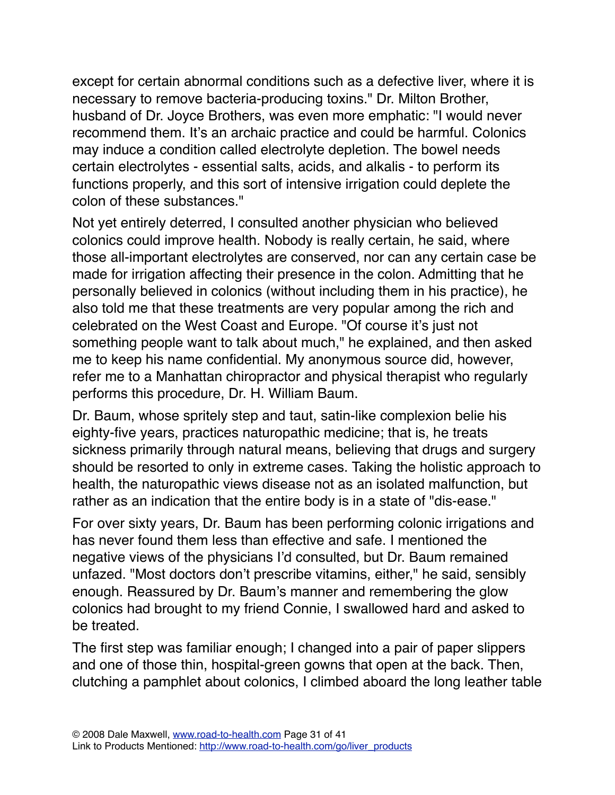except for certain abnormal conditions such as a defective liver, where it is necessary to remove bacteria-producing toxins." Dr. Milton Brother, husband of Dr. Joyce Brothers, was even more emphatic: "I would never recommend them. It's an archaic practice and could be harmful. Colonics may induce a condition called electrolyte depletion. The bowel needs certain electrolytes - essential salts, acids, and alkalis - to perform its functions properly, and this sort of intensive irrigation could deplete the colon of these substances."

Not yet entirely deterred, I consulted another physician who believed colonics could improve health. Nobody is really certain, he said, where those all-important electrolytes are conserved, nor can any certain case be made for irrigation affecting their presence in the colon. Admitting that he personally believed in colonics (without including them in his practice), he also told me that these treatments are very popular among the rich and celebrated on the West Coast and Europe. "Of course it's just not something people want to talk about much," he explained, and then asked me to keep his name confidential. My anonymous source did, however, refer me to a Manhattan chiropractor and physical therapist who regularly performs this procedure, Dr. H. William Baum.

Dr. Baum, whose spritely step and taut, satin-like complexion belie his eighty-five years, practices naturopathic medicine; that is, he treats sickness primarily through natural means, believing that drugs and surgery should be resorted to only in extreme cases. Taking the holistic approach to health, the naturopathic views disease not as an isolated malfunction, but rather as an indication that the entire body is in a state of "dis-ease."

For over sixty years, Dr. Baum has been performing colonic irrigations and has never found them less than effective and safe. I mentioned the negative views of the physicians I'd consulted, but Dr. Baum remained unfazed. "Most doctors don't prescribe vitamins, either," he said, sensibly enough. Reassured by Dr. Baum's manner and remembering the glow colonics had brought to my friend Connie, I swallowed hard and asked to be treated.

The first step was familiar enough; I changed into a pair of paper slippers and one of those thin, hospital-green gowns that open at the back. Then, clutching a pamphlet about colonics, I climbed aboard the long leather table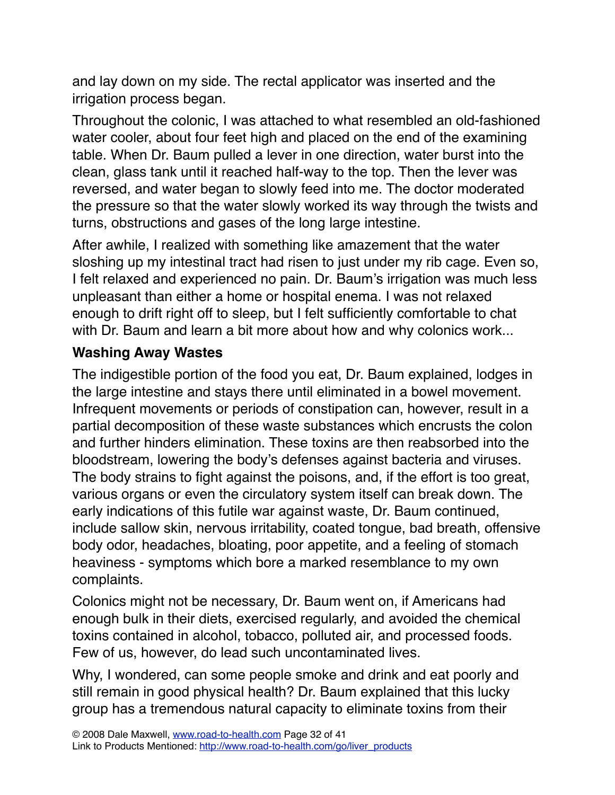and lay down on my side. The rectal applicator was inserted and the irrigation process began.

Throughout the colonic, I was attached to what resembled an old-fashioned water cooler, about four feet high and placed on the end of the examining table. When Dr. Baum pulled a lever in one direction, water burst into the clean, glass tank until it reached half-way to the top. Then the lever was reversed, and water began to slowly feed into me. The doctor moderated the pressure so that the water slowly worked its way through the twists and turns, obstructions and gases of the long large intestine.

After awhile, I realized with something like amazement that the water sloshing up my intestinal tract had risen to just under my rib cage. Even so, I felt relaxed and experienced no pain. Dr. Baum's irrigation was much less unpleasant than either a home or hospital enema. I was not relaxed enough to drift right off to sleep, but I felt sufficiently comfortable to chat with Dr. Baum and learn a bit more about how and why colonics work...

#### <span id="page-31-0"></span>**Washing Away Wastes**

The indigestible portion of the food you eat, Dr. Baum explained, lodges in the large intestine and stays there until eliminated in a bowel movement. Infrequent movements or periods of constipation can, however, result in a partial decomposition of these waste substances which encrusts the colon and further hinders elimination. These toxins are then reabsorbed into the bloodstream, lowering the body's defenses against bacteria and viruses. The body strains to fight against the poisons, and, if the effort is too great, various organs or even the circulatory system itself can break down. The early indications of this futile war against waste, Dr. Baum continued, include sallow skin, nervous irritability, coated tongue, bad breath, offensive body odor, headaches, bloating, poor appetite, and a feeling of stomach heaviness - symptoms which bore a marked resemblance to my own complaints.

Colonics might not be necessary, Dr. Baum went on, if Americans had enough bulk in their diets, exercised regularly, and avoided the chemical toxins contained in alcohol, tobacco, polluted air, and processed foods. Few of us, however, do lead such uncontaminated lives.

Why, I wondered, can some people smoke and drink and eat poorly and still remain in good physical health? Dr. Baum explained that this lucky group has a tremendous natural capacity to eliminate toxins from their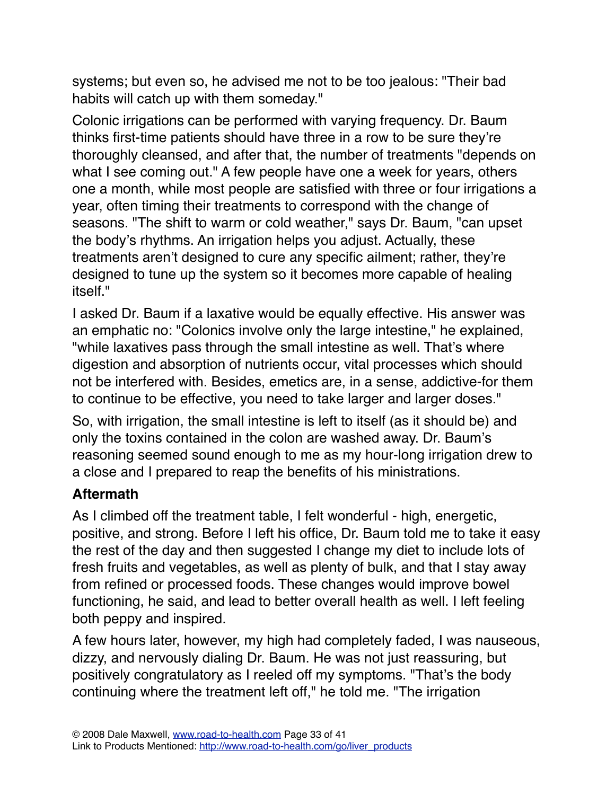systems; but even so, he advised me not to be too jealous: "Their bad habits will catch up with them someday."

Colonic irrigations can be performed with varying frequency. Dr. Baum thinks first-time patients should have three in a row to be sure they're thoroughly cleansed, and after that, the number of treatments "depends on what I see coming out." A few people have one a week for years, others one a month, while most people are satisfied with three or four irrigations a year, often timing their treatments to correspond with the change of seasons. "The shift to warm or cold weather," says Dr. Baum, "can upset the body's rhythms. An irrigation helps you adjust. Actually, these treatments aren't designed to cure any specific ailment; rather, they're designed to tune up the system so it becomes more capable of healing itself."

I asked Dr. Baum if a laxative would be equally effective. His answer was an emphatic no: "Colonics involve only the large intestine," he explained, "while laxatives pass through the small intestine as well. That's where digestion and absorption of nutrients occur, vital processes which should not be interfered with. Besides, emetics are, in a sense, addictive-for them to continue to be effective, you need to take larger and larger doses."

So, with irrigation, the small intestine is left to itself (as it should be) and only the toxins contained in the colon are washed away. Dr. Baum's reasoning seemed sound enough to me as my hour-long irrigation drew to a close and I prepared to reap the benefits of his ministrations.

#### <span id="page-32-0"></span>**Aftermath**

As I climbed off the treatment table, I felt wonderful - high, energetic, positive, and strong. Before I left his office, Dr. Baum told me to take it easy the rest of the day and then suggested I change my diet to include lots of fresh fruits and vegetables, as well as plenty of bulk, and that I stay away from refined or processed foods. These changes would improve bowel functioning, he said, and lead to better overall health as well. I left feeling both peppy and inspired.

A few hours later, however, my high had completely faded, I was nauseous, dizzy, and nervously dialing Dr. Baum. He was not just reassuring, but positively congratulatory as I reeled off my symptoms. "That's the body continuing where the treatment left off," he told me. "The irrigation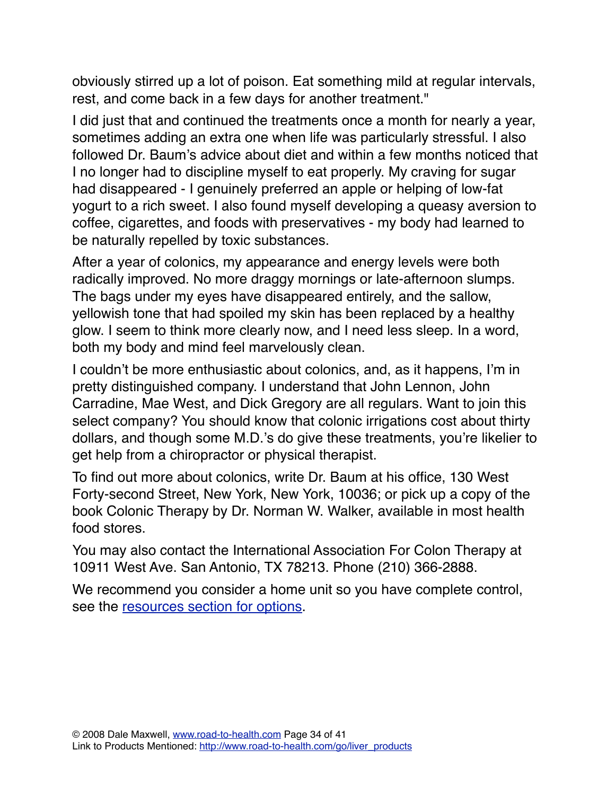obviously stirred up a lot of poison. Eat something mild at regular intervals, rest, and come back in a few days for another treatment."

I did just that and continued the treatments once a month for nearly a year, sometimes adding an extra one when life was particularly stressful. I also followed Dr. Baum's advice about diet and within a few months noticed that I no longer had to discipline myself to eat properly. My craving for sugar had disappeared - I genuinely preferred an apple or helping of low-fat yogurt to a rich sweet. I also found myself developing a queasy aversion to coffee, cigarettes, and foods with preservatives - my body had learned to be naturally repelled by toxic substances.

After a year of colonics, my appearance and energy levels were both radically improved. No more draggy mornings or late-afternoon slumps. The bags under my eyes have disappeared entirely, and the sallow, yellowish tone that had spoiled my skin has been replaced by a healthy glow. I seem to think more clearly now, and I need less sleep. In a word, both my body and mind feel marvelously clean.

I couldn't be more enthusiastic about colonics, and, as it happens, I'm in pretty distinguished company. I understand that John Lennon, John Carradine, Mae West, and Dick Gregory are all regulars. Want to join this select company? You should know that colonic irrigations cost about thirty dollars, and though some M.D.'s do give these treatments, you're likelier to get help from a chiropractor or physical therapist.

To find out more about colonics, write Dr. Baum at his office, 130 West Forty-second Street, New York, New York, 10036; or pick up a copy of the book Colonic Therapy by Dr. Norman W. Walker, available in most health food stores.

You may also contact the International Association For Colon Therapy at 10911 West Ave. San Antonio, TX 78213. Phone (210) 366-2888.

We recommend you consider a home unit so you have complete control, see the [resources section for options.](#page-40-0)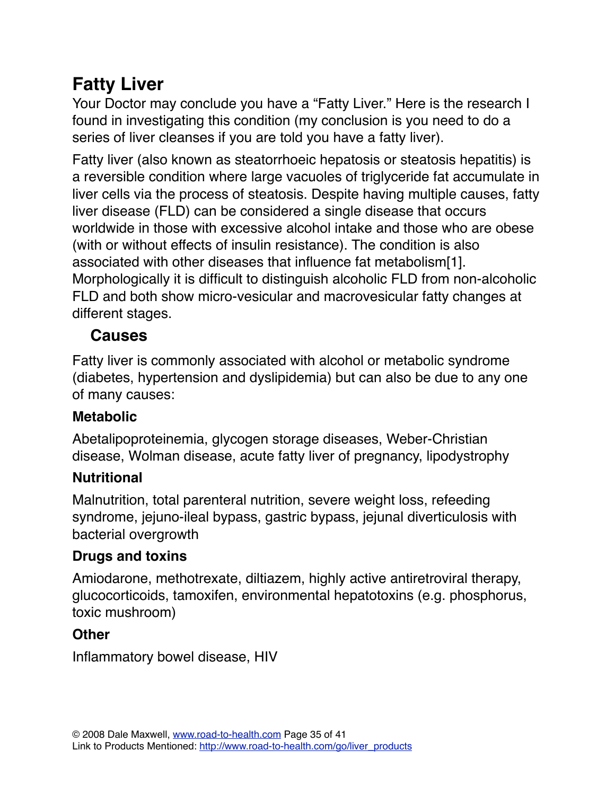# <span id="page-34-0"></span>**Fatty Liver**

Your Doctor may conclude you have a "Fatty Liver." Here is the research I found in investigating this condition (my conclusion is you need to do a series of liver cleanses if you are told you have a fatty liver).

Fatty liver (also known as steatorrhoeic hepatosis or steatosis hepatitis) is a reversible condition where large vacuoles of triglyceride fat accumulate in liver cells via the process of steatosis. Despite having multiple causes, fatty liver disease (FLD) can be considered a single disease that occurs worldwide in those with excessive alcohol intake and those who are obese (with or without effects of insulin resistance). The condition is also associated with other diseases that influence fat metabolism[1]. Morphologically it is difficult to distinguish alcoholic FLD from non-alcoholic FLD and both show micro-vesicular and macrovesicular fatty changes at different stages.

# <span id="page-34-1"></span>**Causes**

Fatty liver is commonly associated with alcohol or metabolic syndrome (diabetes, hypertension and dyslipidemia) but can also be due to any one of many causes:

#### <span id="page-34-2"></span>**Metabolic**

Abetalipoproteinemia, glycogen storage diseases, Weber-Christian disease, Wolman disease, acute fatty liver of pregnancy, lipodystrophy

#### <span id="page-34-3"></span>**Nutritional**

Malnutrition, total parenteral nutrition, severe weight loss, refeeding syndrome, jejuno-ileal bypass, gastric bypass, jejunal diverticulosis with bacterial overgrowth

#### <span id="page-34-4"></span>**Drugs and toxins**

Amiodarone, methotrexate, diltiazem, highly active antiretroviral therapy, glucocorticoids, tamoxifen, environmental hepatotoxins (e.g. phosphorus, toxic mushroom)

#### <span id="page-34-5"></span>**Other**

Inflammatory bowel disease, HIV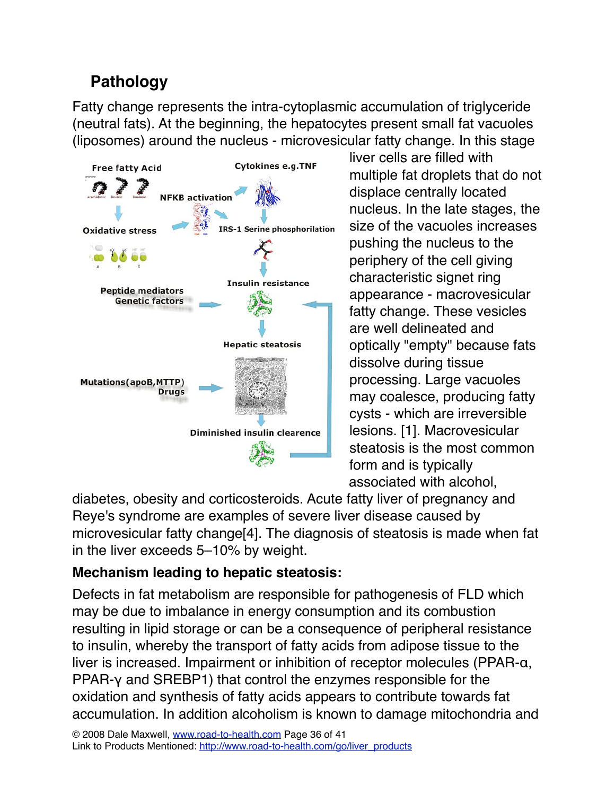# <span id="page-35-0"></span>**Pathology**

Fatty change represents the intra-cytoplasmic accumulation of triglyceride (neutral fats). At the beginning, the hepatocytes present small fat vacuoles (liposomes) around the nucleus - microvesicular fatty change. In this stage



liver cells are filled with multiple fat droplets that do not displace centrally located nucleus. In the late stages, the size of the vacuoles increases pushing the nucleus to the periphery of the cell giving characteristic signet ring appearance - macrovesicular fatty change. These vesicles are well delineated and optically "empty" because fats dissolve during tissue processing. Large vacuoles may coalesce, producing fatty cysts - which are irreversible lesions. [1]. Macrovesicular steatosis is the most common form and is typically associated with alcohol,

diabetes, obesity and corticosteroids. Acute fatty liver of pregnancy and Reye's syndrome are examples of severe liver disease caused by microvesicular fatty change[4]. The diagnosis of steatosis is made when fat in the liver exceeds 5–10% by weight.

#### <span id="page-35-1"></span>**Mechanism leading to hepatic steatosis:**

Defects in fat metabolism are responsible for pathogenesis of FLD which may be due to imbalance in energy consumption and its combustion resulting in lipid storage or can be a consequence of peripheral resistance to insulin, whereby the transport of fatty acids from adipose tissue to the liver is increased. Impairment or inhibition of receptor molecules (PPAR-α, PPAR-γ and SREBP1) that control the enzymes responsible for the oxidation and synthesis of fatty acids appears to contribute towards fat accumulation. In addition alcoholism is known to damage mitochondria and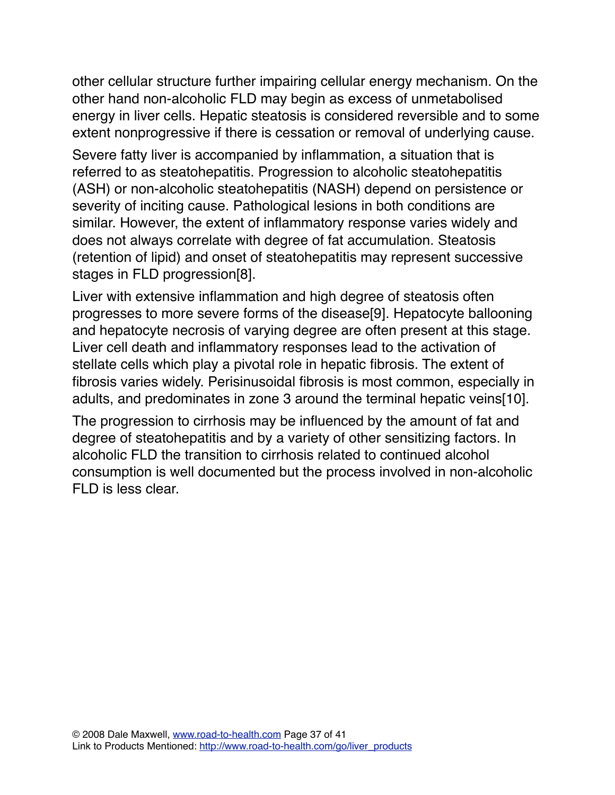other cellular structure further impairing cellular energy mechanism. On the other hand non-alcoholic FLD may begin as excess of unmetabolised energy in liver cells. Hepatic steatosis is considered reversible and to some extent nonprogressive if there is cessation or removal of underlying cause.

Severe fatty liver is accompanied by inflammation, a situation that is referred to as steatohepatitis. Progression to alcoholic steatohepatitis (ASH) or non-alcoholic steatohepatitis (NASH) depend on persistence or severity of inciting cause. Pathological lesions in both conditions are similar. However, the extent of inflammatory response varies widely and does not always correlate with degree of fat accumulation. Steatosis (retention of lipid) and onset of steatohepatitis may represent successive stages in FLD progression[8].

Liver with extensive inflammation and high degree of steatosis often progresses to more severe forms of the disease[9]. Hepatocyte ballooning and hepatocyte necrosis of varying degree are often present at this stage. Liver cell death and inflammatory responses lead to the activation of stellate cells which play a pivotal role in hepatic fibrosis. The extent of fibrosis varies widely. Perisinusoidal fibrosis is most common, especially in adults, and predominates in zone 3 around the terminal hepatic veins[10].

The progression to cirrhosis may be influenced by the amount of fat and degree of steatohepatitis and by a variety of other sensitizing factors. In alcoholic FLD the transition to cirrhosis related to continued alcohol consumption is well documented but the process involved in non-alcoholic FLD is less clear.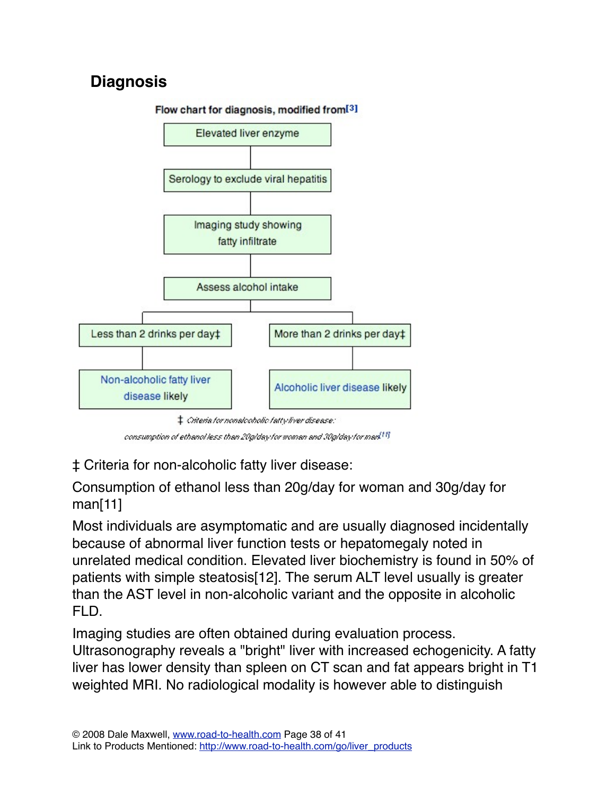# <span id="page-37-0"></span>**Diagnosis**





‡ Criteria for non-alcoholic fatty liver disease:

Consumption of ethanol less than 20g/day for woman and 30g/day for man[11]

Most individuals are asymptomatic and are usually diagnosed incidentally because of abnormal liver function tests or hepatomegaly noted in unrelated medical condition. Elevated liver biochemistry is found in 50% of patients with simple steatosis[12]. The serum ALT level usually is greater than the AST level in non-alcoholic variant and the opposite in alcoholic FLD.

Imaging studies are often obtained during evaluation process.

Ultrasonography reveals a "bright" liver with increased echogenicity. A fatty liver has lower density than spleen on CT scan and fat appears bright in T1 weighted MRI. No radiological modality is however able to distinguish

consumption of ethanol less than 20g/day/or woman and 30g/day/or mar<sup>111]</sup>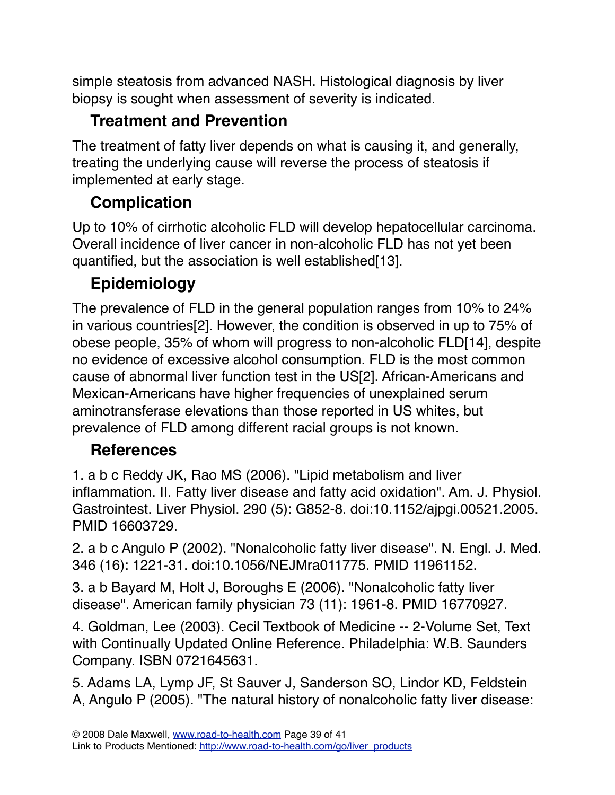simple steatosis from advanced NASH. Histological diagnosis by liver biopsy is sought when assessment of severity is indicated.

# <span id="page-38-0"></span>**Treatment and Prevention**

The treatment of fatty liver depends on what is causing it, and generally, treating the underlying cause will reverse the process of steatosis if implemented at early stage.

# <span id="page-38-1"></span>**Complication**

Up to 10% of cirrhotic alcoholic FLD will develop hepatocellular carcinoma. Overall incidence of liver cancer in non-alcoholic FLD has not yet been quantified, but the association is well established[13].

# <span id="page-38-2"></span>**Epidemiology**

The prevalence of FLD in the general population ranges from 10% to 24% in various countries[2]. However, the condition is observed in up to 75% of obese people, 35% of whom will progress to non-alcoholic FLD[14], despite no evidence of excessive alcohol consumption. FLD is the most common cause of abnormal liver function test in the US[2]. African-Americans and Mexican-Americans have higher frequencies of unexplained serum aminotransferase elevations than those reported in US whites, but prevalence of FLD among different racial groups is not known.

#### <span id="page-38-3"></span>**References**

1. a b c Reddy JK, Rao MS (2006). "Lipid metabolism and liver inflammation. II. Fatty liver disease and fatty acid oxidation". Am. J. Physiol. Gastrointest. Liver Physiol. 290 (5): G852-8. doi:10.1152/ajpgi.00521.2005. PMID 16603729.

2. a b c Angulo P (2002). "Nonalcoholic fatty liver disease". N. Engl. J. Med. 346 (16): 1221-31. doi:10.1056/NEJMra011775. PMID 11961152.

3. a b Bayard M, Holt J, Boroughs E (2006). "Nonalcoholic fatty liver disease". American family physician 73 (11): 1961-8. PMID 16770927.

4. Goldman, Lee (2003). Cecil Textbook of Medicine -- 2-Volume Set, Text with Continually Updated Online Reference. Philadelphia: W.B. Saunders Company. ISBN 0721645631.

5. Adams LA, Lymp JF, St Sauver J, Sanderson SO, Lindor KD, Feldstein A, Angulo P (2005). "The natural history of nonalcoholic fatty liver disease: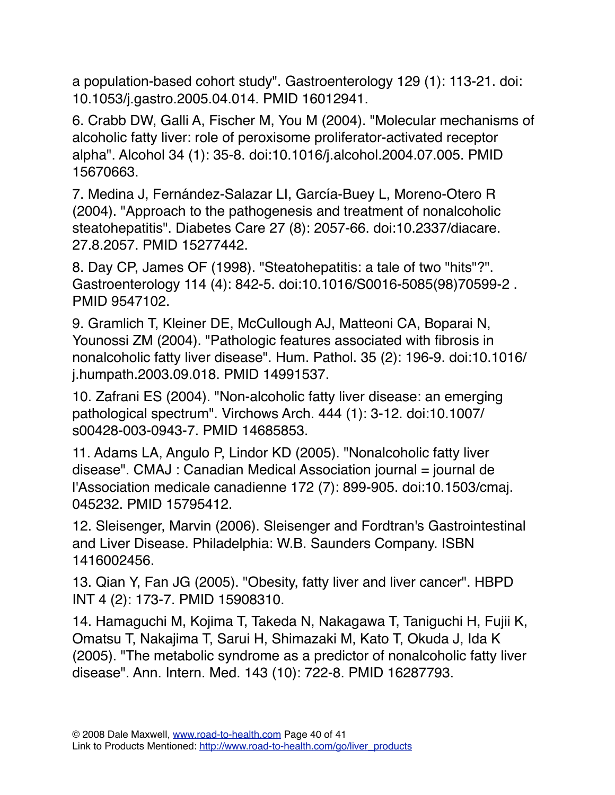a population-based cohort study". Gastroenterology 129 (1): 113-21. doi: 10.1053/j.gastro.2005.04.014. PMID 16012941.

6. Crabb DW, Galli A, Fischer M, You M (2004). "Molecular mechanisms of alcoholic fatty liver: role of peroxisome proliferator-activated receptor alpha". Alcohol 34 (1): 35-8. doi:10.1016/j.alcohol.2004.07.005. PMID 15670663.

7. Medina J, Fernández-Salazar LI, García-Buey L, Moreno-Otero R (2004). "Approach to the pathogenesis and treatment of nonalcoholic steatohepatitis". Diabetes Care 27 (8): 2057-66. doi:10.2337/diacare. 27.8.2057. PMID 15277442.

8. Day CP, James OF (1998). "Steatohepatitis: a tale of two "hits"?". Gastroenterology 114 (4): 842-5. doi:10.1016/S0016-5085(98)70599-2 . PMID 9547102.

9. Gramlich T, Kleiner DE, McCullough AJ, Matteoni CA, Boparai N, Younossi ZM (2004). "Pathologic features associated with fibrosis in nonalcoholic fatty liver disease". Hum. Pathol. 35 (2): 196-9. doi:10.1016/ j.humpath.2003.09.018. PMID 14991537.

10. Zafrani ES (2004). "Non-alcoholic fatty liver disease: an emerging pathological spectrum". Virchows Arch. 444 (1): 3-12. doi:10.1007/ s00428-003-0943-7. PMID 14685853.

11. Adams LA, Angulo P, Lindor KD (2005). "Nonalcoholic fatty liver  $disease$ ". CMAJ : Canadian Medical Association journal = journal de l'Association medicale canadienne 172 (7): 899-905. doi:10.1503/cmaj. 045232. PMID 15795412.

12. Sleisenger, Marvin (2006). Sleisenger and Fordtran's Gastrointestinal and Liver Disease. Philadelphia: W.B. Saunders Company. ISBN 1416002456.

13. Qian Y, Fan JG (2005). "Obesity, fatty liver and liver cancer". HBPD INT 4 (2): 173-7. PMID 15908310.

14. Hamaguchi M, Kojima T, Takeda N, Nakagawa T, Taniguchi H, Fujii K, Omatsu T, Nakajima T, Sarui H, Shimazaki M, Kato T, Okuda J, Ida K (2005). "The metabolic syndrome as a predictor of nonalcoholic fatty liver disease". Ann. Intern. Med. 143 (10): 722-8. PMID 16287793.